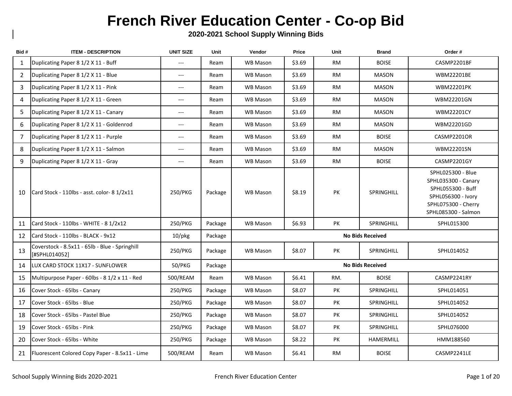## **French River Education Center - Co-op Bid**

**2020-2021 School Supply Winning Bids**

| Bid#           | <b>ITEM - DESCRIPTION</b>                                       | <b>UNIT SIZE</b>     | Unit    | Vendor          | Price  | Unit      | <b>Brand</b>            | Order #                                                                                                                           |
|----------------|-----------------------------------------------------------------|----------------------|---------|-----------------|--------|-----------|-------------------------|-----------------------------------------------------------------------------------------------------------------------------------|
| 1              | Duplicating Paper 8 1/2 X 11 - Buff                             | $---$                | Ream    | <b>WB Mason</b> | \$3.69 | <b>RM</b> | <b>BOISE</b>            | CASMP2201BF                                                                                                                       |
| $\overline{2}$ | Duplicating Paper 8 1/2 X 11 - Blue                             | $---$                | Ream    | WB Mason        | \$3.69 | RM        | <b>MASON</b>            | <b>WBM22201BE</b>                                                                                                                 |
| 3              | Duplicating Paper 8 1/2 X 11 - Pink                             | $---$                | Ream    | <b>WB Mason</b> | \$3.69 | <b>RM</b> | <b>MASON</b>            | <b>WBM22201PK</b>                                                                                                                 |
| 4              | Duplicating Paper 8 1/2 X 11 - Green                            | $\hspace{0.05cm}---$ | Ream    | <b>WB Mason</b> | \$3.69 | RM        | MASON                   | <b>WBM22201GN</b>                                                                                                                 |
| 5              | Duplicating Paper 8 1/2 X 11 - Canary                           | $---$                | Ream    | <b>WB Mason</b> | \$3.69 | <b>RM</b> | <b>MASON</b>            | <b>WBM22201CY</b>                                                                                                                 |
| 6              | Duplicating Paper 8 1/2 X 11 - Goldenrod                        | $---$                | Ream    | <b>WB Mason</b> | \$3.69 | <b>RM</b> | <b>MASON</b>            | WBM22201GD                                                                                                                        |
| $\overline{7}$ | Duplicating Paper 8 1/2 X 11 - Purple                           | $\qquad \qquad - -$  | Ream    | <b>WB Mason</b> | \$3.69 | <b>RM</b> | <b>BOISE</b>            | CASMP2201OR                                                                                                                       |
| 8              | Duplicating Paper 8 1/2 X 11 - Salmon                           | $\qquad \qquad - -$  | Ream    | <b>WB Mason</b> | \$3.69 | <b>RM</b> | <b>MASON</b>            | WBM22201SN                                                                                                                        |
| 9              | Duplicating Paper 8 1/2 X 11 - Gray                             | $\hspace{0.05cm}---$ | Ream    | <b>WB Mason</b> | \$3.69 | <b>RM</b> | <b>BOISE</b>            | CASMP2201GY                                                                                                                       |
| 10             | Card Stock - 110lbs - asst. color- 8 1/2x11                     | 250/PKG              | Package | <b>WB Mason</b> | \$8.19 | PK        | <b>SPRINGHILL</b>       | SPHL025300 - Blue<br>SPHL035300 - Canary<br>SPHL055300 - Buff<br>SPHL056300 - Ivory<br>SPHL075300 - Cherry<br>SPHL085300 - Salmon |
| 11             | Card Stock - 110lbs - WHITE - 8 1/2x12                          | 250/PKG              | Package | <b>WB Mason</b> | \$6.93 | PK        | SPRINGHILL              | SPHL015300                                                                                                                        |
| 12             | Card Stock - 110lbs - BLACK - 9x12                              | $10$ /pkg            | Package |                 |        |           | <b>No Bids Received</b> |                                                                                                                                   |
| 13             | Coverstock - 8.5x11 - 65lb - Blue - Springhill<br>[#SPHL014052] | 250/PKG              | Package | <b>WB Mason</b> | \$8.07 | PK        | <b>SPRINGHILL</b>       | SPHL014052                                                                                                                        |
| 14             | LUX CARD STOCK 11X17 - SUNFLOWER                                | 50/PKG               | Package |                 |        |           | <b>No Bids Received</b> |                                                                                                                                   |
| 15             | Multipurpose Paper - 60lbs - 8 1/2 x 11 - Red                   | 500/REAM             | Ream    | <b>WB Mason</b> | \$6.41 | RM.       | <b>BOISE</b>            | CASMP2241RY                                                                                                                       |
| 16             | Cover Stock - 65lbs - Canary                                    | 250/PKG              | Package | <b>WB Mason</b> | \$8.07 | PK        | SPRINGHILL              | SPHL014051                                                                                                                        |
| 17             | Cover Stock - 65lbs - Blue                                      | 250/PKG              | Package | <b>WB Mason</b> | \$8.07 | PK        | <b>SPRINGHILL</b>       | SPHL014052                                                                                                                        |
| 18             | Cover Stock - 65lbs - Pastel Blue                               | 250/PKG              | Package | <b>WB Mason</b> | \$8.07 | PK        | SPRINGHILL              | SPHL014052                                                                                                                        |
| 19             | Cover Stock - 65lbs - Pink                                      | 250/PKG              | Package | <b>WB Mason</b> | \$8.07 | PK        | SPRINGHILL              | SPHL076000                                                                                                                        |
| 20             | Cover Stock - 65lbs - White                                     | 250/PKG              | Package | WB Mason        | \$8.22 | PK        | HAMERMILL               | HMM188560                                                                                                                         |
| 21             | Fluorescent Colored Copy Paper - 8.5x11 - Lime                  | 500/REAM             | Ream    | <b>WB Mason</b> | \$6.41 | RM        | <b>BOISE</b>            | CASMP2241LE                                                                                                                       |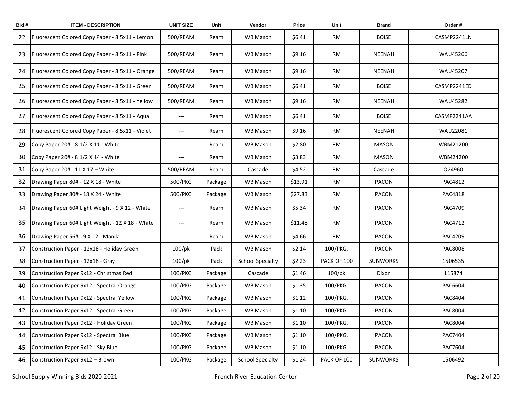| Bid# | <b>ITEM - DESCRIPTION</b>                        | <b>UNIT SIZE</b>                         | Unit    | Vendor                  | Price   | Unit        | <b>Brand</b>    | Order#          |
|------|--------------------------------------------------|------------------------------------------|---------|-------------------------|---------|-------------|-----------------|-----------------|
| 22   | Fluorescent Colored Copy Paper - 8.5x11 - Lemon  | 500/REAM                                 | Ream    | WB Mason                | \$6.41  | RM          | <b>BOISE</b>    | CASMP2241LN     |
| 23   | Fluorescent Colored Copy Paper - 8.5x11 - Pink   | 500/REAM                                 | Ream    | <b>WB Mason</b>         | \$9.16  | RM          | <b>NEENAH</b>   | WAU45266        |
| 24   | Fluorescent Colored Copy Paper - 8.5x11 - Orange | 500/REAM                                 | Ream    | <b>WB Mason</b>         | \$9.16  | <b>RM</b>   | <b>NEENAH</b>   | WAU45207        |
| 25   | Fluorescent Colored Copy Paper - 8.5x11 - Green  | 500/REAM                                 | Ream    | <b>WB Mason</b>         | \$6.41  | <b>RM</b>   | <b>BOISE</b>    | CASMP2241ED     |
| 26   | Fluorescent Colored Copy Paper - 8.5x11 - Yellow | 500/REAM                                 | Ream    | WB Mason                | \$9.16  | RM          | <b>NEENAH</b>   | <b>WAU45282</b> |
| 27   | Fluorescent Colored Copy Paper - 8.5x11 - Aqua   | $---$                                    | Ream    | WB Mason                | \$6.41  | <b>RM</b>   | <b>BOISE</b>    | CASMP2241AA     |
| 28   | Fluorescent Colored Copy Paper - 8.5x11 - Violet | $\hspace{0.05cm} \ldots \hspace{0.05cm}$ | Ream    | WB Mason                | \$9.16  | RM          | <b>NEENAH</b>   | WAU22081        |
| 29   | Copy Paper 20# - 8 1/2 X 11 - White              | $\hspace{0.05cm} \ldots$                 | Ream    | <b>WB Mason</b>         | \$2.80  | <b>RM</b>   | MASON           | WBM21200        |
| 30   | Copy Paper 20# - 8 1/2 X 14 - White              | $---$                                    | Ream    | <b>WB Mason</b>         | \$3.83  | <b>RM</b>   | MASON           | WBM24200        |
| 31   | Copy Paper 20# - 11 X 17 - White                 | 500/REAM                                 | Ream    | Cascade                 | \$4.52  | <b>RM</b>   | Cascade         | 024960          |
| 32   | Drawing Paper 80# - 12 X 18 - White              | 500/PKG                                  | Package | WB Mason                | \$13.91 | <b>RM</b>   | PACON           | PAC4812         |
| 33   | Drawing Paper 80# - 18 X 24 - White              | 500/PKG                                  | Package | <b>WB Mason</b>         | \$27.83 | RM          | <b>PACON</b>    | PAC4818         |
| 34   | Drawing Paper 60# Light Weight - 9 X 12 - White  | $\hspace{0.05cm} \ldots \hspace{0.05cm}$ | Ream    | WB Mason                | \$5.34  | RM          | <b>PACON</b>    | PAC4709         |
| 35   | Drawing Paper 60# Light Weight - 12 X 18 - White | $\hspace{0.05cm} \ldots$                 | Ream    | <b>WB Mason</b>         | \$11.48 | RM          | PACON           | PAC4712         |
| 36   | Drawing Paper 56# - 9 X 12 - Manila              | $---$                                    | Ream    | WB Mason                | \$4.66  | <b>RM</b>   | PACON           | PAC4209         |
| 37   | Construction Paper - 12x18 - Holiday Green       | $100$ /pk                                | Pack    | WB Mason                | \$2.14  | 100/PKG.    | <b>PACON</b>    | PAC8008         |
| 38   | Construction Paper - 12x18 - Gray                | $100$ /pk                                | Pack    | <b>School Specialty</b> | \$2.23  | PACK OF 100 | <b>SUNWORKS</b> | 1506535         |
| 39   | Construction Paper 9x12 - Christmas Red          | 100/PKG                                  | Package | Cascade                 | \$1.46  | $100$ /pk   | Dixon           | 115874          |
| 40   | Construction Paper 9x12 - Spectral Orange        | 100/PKG                                  | Package | WB Mason                | \$1.35  | 100/PKG.    | <b>PACON</b>    | PAC6604         |
| 41   | Construction Paper 9x12 - Spectral Yellow        | 100/PKG                                  | Package | WB Mason                | \$1.12  | 100/PKG.    | PACON           | PAC8404         |
| 42   | Construction Paper 9x12 - Spectral Green         | 100/PKG                                  | Package | <b>WB Mason</b>         | \$1.10  | 100/PKG.    | PACON           | PAC8004         |
| 43   | Construction Paper 9x12 - Holiday Green          | 100/PKG                                  | Package | WB Mason                | \$1.10  | 100/PKG.    | PACON           | PAC8004         |
| 44   | Construction Paper 9x12 - Spectral Blue          | 100/PKG                                  | Package | WB Mason                | \$1.10  | 100/PKG.    | PACON           | PAC7404         |
| 45   | Construction Paper 9x12 - Sky Blue               | 100/PKG                                  | Package | WB Mason                | \$1.10  | 100/PKG.    | PACON           | PAC7604         |
| 46   | Construction Paper 9x12 - Brown                  | 100/PKG                                  | Package | <b>School Specialty</b> | \$1.24  | PACK OF 100 | <b>SUNWORKS</b> | 1506492         |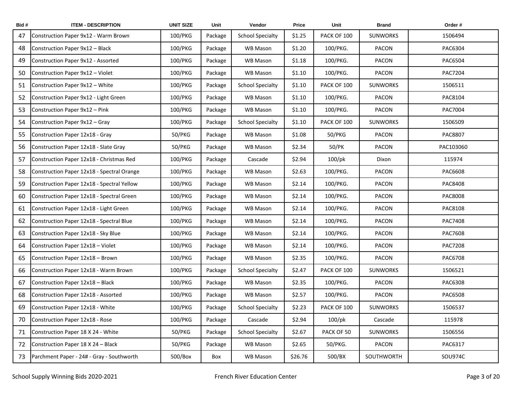| Bid# | <b>ITEM - DESCRIPTION</b>                  | <b>UNIT SIZE</b> | Unit    | Vendor                  | Price   | Unit        | <b>Brand</b>    | Order#         |
|------|--------------------------------------------|------------------|---------|-------------------------|---------|-------------|-----------------|----------------|
| 47   | Construction Paper 9x12 - Warm Brown       | 100/PKG          | Package | <b>School Specialty</b> | \$1.25  | PACK OF 100 | <b>SUNWORKS</b> | 1506494        |
| 48   | Construction Paper 9x12 - Black            | 100/PKG          | Package | WB Mason                | \$1.20  | 100/PKG.    | PACON           | PAC6304        |
| 49   | Construction Paper 9x12 - Assorted         | 100/PKG          | Package | <b>WB Mason</b>         | \$1.18  | 100/PKG.    | PACON           | PAC6504        |
| 50   | Construction Paper 9x12 - Violet           | 100/PKG          | Package | WB Mason                | \$1.10  | 100/PKG.    | PACON           | PAC7204        |
| 51   | Construction Paper 9x12 - White            | 100/PKG          | Package | <b>School Specialty</b> | \$1.10  | PACK OF 100 | <b>SUNWORKS</b> | 1506511        |
| 52   | Construction Paper 9x12 - Light Green      | 100/PKG          | Package | WB Mason                | \$1.10  | 100/PKG.    | PACON           | PAC8104        |
| 53   | Construction Paper 9x12 - Pink             | 100/PKG          | Package | WB Mason                | \$1.10  | 100/PKG.    | PACON           | PAC7004        |
| 54   | Construction Paper 9x12 - Gray             | 100/PKG          | Package | <b>School Specialty</b> | \$1.10  | PACK OF 100 | <b>SUNWORKS</b> | 1506509        |
| 55   | Construction Paper 12x18 - Gray            | 50/PKG           | Package | WB Mason                | \$1.08  | 50/PKG      | PACON           | <b>PAC8807</b> |
| 56   | Construction Paper 12x18 - Slate Gray      | 50/PKG           | Package | <b>WB Mason</b>         | \$2.34  | 50/PK       | PACON           | PAC103060      |
| 57   | Construction Paper 12x18 - Christmas Red   | 100/PKG          | Package | Cascade                 | \$2.94  | $100$ /pk   | Dixon           | 115974         |
| 58   | Construction Paper 12x18 - Spectral Orange | 100/PKG          | Package | WB Mason                | \$2.63  | 100/PKG.    | PACON           | PAC6608        |
| 59   | Construction Paper 12x18 - Spectral Yellow | 100/PKG          | Package | WB Mason                | \$2.14  | 100/PKG.    | PACON           | <b>PAC8408</b> |
| 60   | Construction Paper 12x18 - Spectral Green  | 100/PKG          | Package | WB Mason                | \$2.14  | 100/PKG.    | PACON           | PAC8008        |
| 61   | Construction Paper 12x18 - Light Green     | 100/PKG          | Package | WB Mason                | \$2.14  | 100/PKG.    | PACON           | <b>PAC8108</b> |
| 62   | Construction Paper 12x18 - Spectral Blue   | 100/PKG          | Package | WB Mason                | \$2.14  | 100/PKG.    | PACON           | <b>PAC7408</b> |
| 63   | Construction Paper 12x18 - Sky Blue        | 100/PKG          | Package | <b>WB Mason</b>         | \$2.14  | 100/PKG.    | PACON           | PAC7608        |
| 64   | Construction Paper 12x18 - Violet          | 100/PKG          | Package | WB Mason                | \$2.14  | 100/PKG.    | PACON           | <b>PAC7208</b> |
| 65   | Construction Paper 12x18 - Brown           | 100/PKG          | Package | WB Mason                | \$2.35  | 100/PKG.    | PACON           | <b>PAC6708</b> |
| 66   | Construction Paper 12x18 - Warm Brown      | 100/PKG          | Package | <b>School Specialty</b> | \$2.47  | PACK OF 100 | <b>SUNWORKS</b> | 1506521        |
| 67   | Construction Paper 12x18 - Black           | 100/PKG          | Package | WB Mason                | \$2.35  | 100/PKG.    | PACON           | PAC6308        |
| 68   | Construction Paper 12x18 - Assorted        | 100/PKG          | Package | WB Mason                | \$2.57  | 100/PKG.    | PACON           | <b>PAC6508</b> |
| 69   | Construction Paper 12x18 - White           | 100/PKG          | Package | <b>School Specialty</b> | \$2.23  | PACK OF 100 | <b>SUNWORKS</b> | 1506537        |
| 70   | Construction Paper 12x18 - Rose            | 100/PKG          | Package | Cascade                 | \$2.94  | $100$ /pk   | Cascade         | 115978         |
| 71   | Construction Paper 18 X 24 - White         | 50/PKG           | Package | <b>School Specialty</b> | \$2.67  | PACK OF 50  | <b>SUNWORKS</b> | 1506556        |
| 72   | Construction Paper 18 X 24 - Black         | 50/PKG           | Package | WB Mason                | \$2.65  | 50/PKG.     | PACON           | PAC6317        |
| 73   | Parchment Paper - 24# - Gray - Southworth  | 500/Box          | Box     | WB Mason                | \$26.76 | 500/BX      | SOUTHWORTH      | SOU974C        |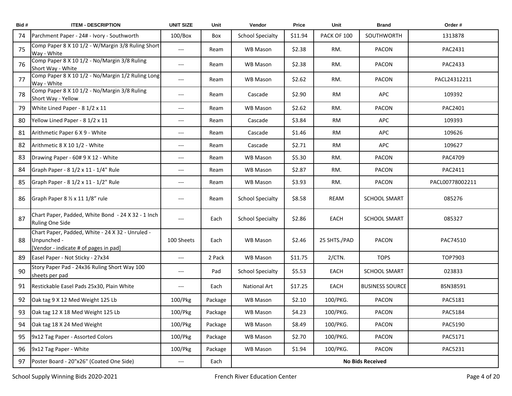| Bid# | <b>ITEM - DESCRIPTION</b>                                                                                | <b>UNIT SIZE</b>         | Unit    | Vendor                  | Price   | Unit         | <b>Brand</b>           | Order#          |  |  |
|------|----------------------------------------------------------------------------------------------------------|--------------------------|---------|-------------------------|---------|--------------|------------------------|-----------------|--|--|
| 74   | Parchment Paper - 24# - Ivory - Southworth                                                               | $100/B$ ox               | Box     | <b>School Specialty</b> | \$11.94 | PACK OF 100  | SOUTHWORTH             | 1313878         |  |  |
| 75   | Comp Paper 8 X 10 1/2 - W/Margin 3/8 Ruling Short<br>Way - White                                         | ---                      | Ream    | WB Mason                | \$2.38  | RM.          | <b>PACON</b>           | PAC2431         |  |  |
| 76   | Comp Paper 8 X 10 1/2 - No/Margin 3/8 Ruling<br>Short Way - White                                        | $---$                    | Ream    | <b>WB Mason</b>         | \$2.38  | RM.          | PACON                  | PAC2433         |  |  |
| 77   | Comp Paper 8 X 10 1/2 - No/Margin 1/2 Ruling Long<br>Way - White                                         | ---                      | Ream    | WB Mason                | \$2.62  | RM.          | PACON                  | PACL24312211    |  |  |
| 78   | Comp Paper 8 X 10 1/2 - No/Margin 3/8 Ruling<br>Short Way - Yellow                                       | ---                      | Ream    | Cascade                 | \$2.90  | RM           | <b>APC</b>             | 109392          |  |  |
| 79   | White Lined Paper - 8 1/2 x 11                                                                           | ---                      | Ream    | WB Mason                | \$2.62  | RM.          | <b>PACON</b>           | PAC2401         |  |  |
| 80   | Yellow Lined Paper - 8 1/2 x 11                                                                          | $\qquad \qquad - -$      | Ream    | Cascade                 | \$3.84  | RM           | APC                    | 109393          |  |  |
| 81   | Arithmetic Paper 6 X 9 - White                                                                           | ---                      | Ream    | Cascade                 | \$1.46  | RM           | APC                    | 109626          |  |  |
| 82   | Arithmetic 8 X 10 1/2 - White                                                                            | ---                      | Ream    | Cascade                 | \$2.71  | RM           | <b>APC</b>             | 109627          |  |  |
| 83   | Drawing Paper - 60# 9 X 12 - White                                                                       | ---                      | Ream    | <b>WB Mason</b>         | \$5.30  | RM.          | PACON                  | PAC4709         |  |  |
| 84   | Graph Paper - 8 1/2 x 11 - 1/4" Rule                                                                     | $\qquad \qquad - -$      | Ream    | WB Mason                | \$2.87  | RM.          | <b>PACON</b>           | PAC2411         |  |  |
| 85   | Graph Paper - 8 1/2 x 11 - 1/2" Rule                                                                     | ---                      | Ream    | WB Mason                | \$3.93  | RM.          | PACON                  | PACL00778002211 |  |  |
| 86   | Graph Paper 8 1/2 x 11 1/8" rule                                                                         | $---$                    | Ream    | <b>School Specialty</b> | \$8.58  | REAM         | <b>SCHOOL SMART</b>    | 085276          |  |  |
| 87   | Chart Paper, Padded, White Bond - 24 X 32 - 1 Inch<br><b>Ruling One Side</b>                             | $---$                    | Each    | <b>School Specialty</b> | \$2.86  | EACH         | <b>SCHOOL SMART</b>    | 085327          |  |  |
| 88   | Chart Paper, Padded, White - 24 X 32 - Unruled -<br>Unpunched -<br>[Vendor - indicate # of pages in pad] | 100 Sheets               | Each    | WB Mason                | \$2.46  | 25 SHTS./PAD | <b>PACON</b>           | PAC74510        |  |  |
| 89   | Easel Paper - Not Sticky - 27x34                                                                         | $---$                    | 2 Pack  | WB Mason                | \$11.75 | $2/CTN$ .    | <b>TOPS</b>            | TOP7903         |  |  |
| 90   | Story Paper Pad - 24x36 Ruling Short Way 100<br>sheets per pad                                           | ---                      | Pad     | <b>School Specialty</b> | \$5.53  | EACH         | <b>SCHOOL SMART</b>    | 023833          |  |  |
| 91   | Restickable Easel Pads 25x30, Plain White                                                                | $---$                    | Each    | National Art            | \$17.25 | EACH         | <b>BUSINESS SOURCE</b> | BSN38591        |  |  |
| 92   | Oak tag 9 X 12 Med Weight 125 Lb                                                                         | 100/Pkg                  | Package | WB Mason                | \$2.10  | 100/PKG.     | PACON                  | PAC5181         |  |  |
|      | Oak tag 12 X 18 Med Weight 125 Lb                                                                        | 100/Pkg                  | Package | WB Mason                | \$4.23  | 100/PKG.     | PACON                  | PAC5184         |  |  |
| 94   | Oak tag 18 X 24 Med Weight                                                                               | 100/Pkg                  | Package | WB Mason                | \$8.49  | 100/PKG.     | PACON                  | PAC5190         |  |  |
| 95   | 9x12 Tag Paper - Assorted Colors                                                                         | 100/Pkg                  | Package | WB Mason                | \$2.70  | 100/PKG.     | PACON                  | PAC5171         |  |  |
| 96   | 9x12 Tag Paper - White                                                                                   | 100/Pkg                  | Package | WB Mason                | \$1.94  | 100/PKG.     | PACON                  | PAC5231         |  |  |
| 97   | Poster Board - 20"x26" (Coated One Side)                                                                 | $\hspace{0.05cm} \ldots$ | Each    | <b>No Bids Received</b> |         |              |                        |                 |  |  |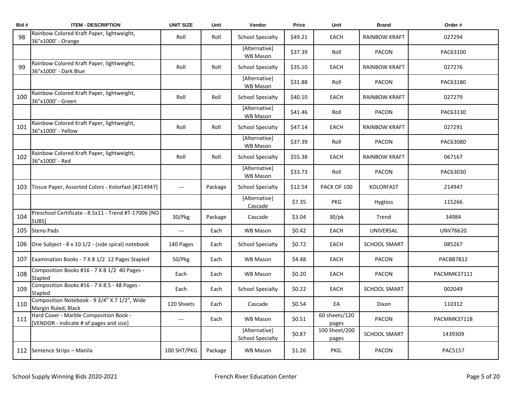| Bid# | <b>ITEM - DESCRIPTION</b>                                                         | <b>UNIT SIZE</b>         | Unit    | Vendor                                   | Price   | Unit                   | <b>Brand</b>         | Order #        |
|------|-----------------------------------------------------------------------------------|--------------------------|---------|------------------------------------------|---------|------------------------|----------------------|----------------|
| 98   | Rainbow Colored Kraft Paper, lightweight,<br>36"x1000' - Orange                   | Roll                     | Roll    | <b>School Specialty</b>                  | \$49.21 | EACH                   | <b>RAINBOW KRAFT</b> | 027294         |
|      |                                                                                   |                          |         | [Alternative]<br>WB Mason                | \$37.39 | Roll                   | <b>PACON</b>         | PAC63100       |
| 99   | Rainbow Colored Kraft Paper, lightweight,<br>36"x1000' - Dark Blue                | Roll                     | Roll    | <b>School Specialty</b>                  | \$35.10 | EACH                   | <b>RAINBOW KRAFT</b> | 027276         |
|      |                                                                                   |                          |         | [Alternative]<br>WB Mason                | \$31.88 | Roll                   | <b>PACON</b>         | PAC63180       |
| 100  | Rainbow Colored Kraft Paper, lightweight,<br>36"x1000' - Green                    | Roll                     | Roll    | <b>School Specialty</b>                  | \$40.10 | EACH                   | <b>RAINBOW KRAFT</b> | 027279         |
|      |                                                                                   |                          |         | [Alternative]<br>WB Mason                | \$41.46 | Roll                   | <b>PACON</b>         | PAC63130       |
| 101  | Rainbow Colored Kraft Paper, lightweight,<br>36"x1000' - Yellow                   | Roll                     | Roll    | <b>School Specialty</b>                  | \$47.14 | <b>EACH</b>            | <b>RAINBOW KRAFT</b> | 027291         |
|      |                                                                                   |                          |         | [Alternative]<br><b>WB Mason</b>         | \$37.39 | Roll                   | <b>PACON</b>         | PAC63080       |
| 102  | Rainbow Colored Kraft Paper, lightweight,<br>36"x1000' - Red                      | Roll                     | Roll    | <b>School Specialty</b>                  | \$55.38 | <b>EACH</b>            | <b>RAINBOW KRAFT</b> | 067167         |
|      |                                                                                   |                          |         | [Alternative]<br>WB Mason                | \$33.73 | Roll                   | <b>PACON</b>         | PAC63030       |
| 103  | Tissue Paper, Assorted Colors - Kolorfast [#214947]                               | $\hspace{0.05cm} \ldots$ | Package | <b>School Specialty</b>                  | \$12.54 | PACK OF 100            | <b>KOLORFAST</b>     | 214947         |
|      |                                                                                   |                          |         | [Alternative]<br>Cascade                 | \$7.35  | <b>PKG</b>             | <b>Hygloss</b>       | 115266         |
| 104  | Preschool Certificate - 8.5x11 - Trend #T-17006 [NO<br>SUBS]                      | 30/Pkg                   | Package | Cascade                                  | \$3.04  | $30$ /pk               | Trend                | 34984          |
| 105  | Steno Pads                                                                        | $---$                    | Each    | <b>WB Mason</b>                          | \$0.42  | <b>EACH</b>            | UNIVERSAL            | UNV76620       |
| 106  | One Subject - 8 x 10 1/2 - (side spiral) notebook                                 | 140 Pages                | Each    | <b>School Specialty</b>                  | \$0.72  | EACH                   | <b>SCHOOL SMART</b>  | 085267         |
| 107  | Examination Books - 7 X 8 1/2 12 Pages Stapled                                    | 50/Pkg                   | Each    | <b>WB Mason</b>                          | \$4.48  | <b>EACH</b>            | <b>PACON</b>         | PACBB7812      |
| 108  | Composition Books #16 - 7 X 8 1/2 40 Pages -<br>Stapled                           | Each                     | Each    | <b>WB Mason</b>                          | \$0.20  | EACH                   | <b>PACON</b>         | PACMMK37111    |
| 109  | Composition Books #16 - 7 X 8.5 - 48 Pages -<br>Stapled                           | Each                     | Each    | <b>School Specialty</b>                  | \$0.22  | EACH                   | <b>SCHOOL SMART</b>  | 002049         |
| 110  | Composition Notebook - 9 3/4" X 7 1/2", Wide<br>Margin Ruled, Black               | 120 Sheets               | Each    | Cascade                                  | \$0.54  | EA                     | Dixon                | 110312         |
| 111  | Hard Cover - Marble Composition Book -<br>[VENDOR - indicate # of pages and size] | $---$                    | Each    | <b>WB Mason</b>                          | \$0.51  | 60 sheets/120<br>pages | PACON                | PACMMK37118    |
|      |                                                                                   |                          |         | [Alternative]<br><b>School Specialty</b> | \$0.87  | 100 Sheet/200<br>pages | <b>SCHOOL SMART</b>  | 1439309        |
|      | 112 Sentence Strips - Manila                                                      | 100 SHT/PKG              | Package | <b>WB Mason</b>                          | \$1.26  | PKG.                   | <b>PACON</b>         | <b>PAC5157</b> |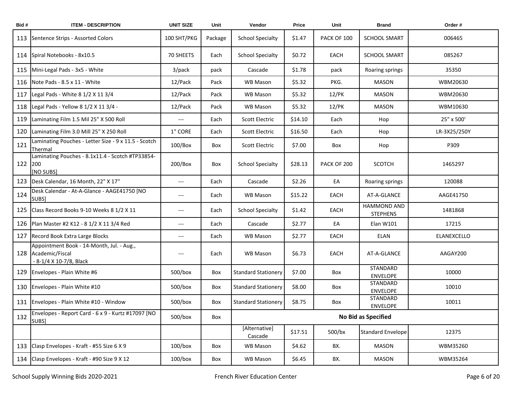| Bid# | <b>ITEM - DESCRIPTION</b>                                                                   | <b>UNIT SIZE</b>                         | Unit    | Vendor                     | Price   | Unit        | <b>Brand</b>                   | Order#       |  |
|------|---------------------------------------------------------------------------------------------|------------------------------------------|---------|----------------------------|---------|-------------|--------------------------------|--------------|--|
| 113  | Sentence Strips - Assorted Colors                                                           | 100 SHT/PKG                              | Package | <b>School Specialty</b>    | \$1.47  | PACK OF 100 | <b>SCHOOL SMART</b>            | 006465       |  |
| 114  | Spiral Notebooks - 8x10.5                                                                   | 70 SHEETS                                | Each    | <b>School Specialty</b>    | \$0.72  | EACH        | <b>SCHOOL SMART</b>            | 085267       |  |
| 115  | Mini-Legal Pads - 3x5 - White                                                               | 3/pack                                   | pack    | Cascade                    | \$1.78  | pack        | Roaring springs                | 35350        |  |
| 116  | Note Pads - 8.5 x 11 - White                                                                | 12/Pack                                  | Pack    | WB Mason                   | \$5.32  | PKG.        | <b>MASON</b>                   | WBM20630     |  |
| 117  | Legal Pads - White 8 1/2 X 11 3/4                                                           | 12/Pack                                  | Pack    | <b>WB Mason</b>            | \$5.32  | $12$ /PK    | MASON                          | WBM20630     |  |
| 118  | Legal Pads - Yellow 8 1/2 X 11 3/4 -                                                        | 12/Pack                                  | Pack    | WB Mason                   | \$5.32  | $12$ /PK    | <b>MASON</b>                   | WBM10630     |  |
| 119  | Laminating Film 1.5 Mil 25" X 500 Roll                                                      | $---$                                    | Each    | Scott Electric             | \$14.10 | Each        | Hop                            | 25" x 500'   |  |
| 120  | Laminating Film 3.0 Mill 25" X 250 Roll                                                     | 1" CORE                                  | Each    | Scott Electric             | \$16.50 | Each        | Hop                            | LR-3X25/250Y |  |
| 121  | Laminating Pouches - Letter Size - 9 x 11.5 - Scotch<br>Thermal                             | $100/B$ ox                               | Box     | Scott Electric             | \$7.00  | Box         | Hop                            | P309         |  |
| 122  | Laminating Pouches - 8.1x11.4 - Scotch #TP33854-<br>1200<br>[NO SUBS]                       | 200/Box                                  | Box     | <b>School Specialty</b>    | \$28.13 | PACK OF 200 | <b>SCOTCH</b>                  | 1465297      |  |
| 123  | Desk Calendar, 16 Month, 22" X 17"                                                          | $---$                                    | Each    | Cascade                    | \$2.26  | EA          | Roaring springs                | 120088       |  |
| 124  | Desk Calendar - At-A-Glance - AAGE41750 [NO<br>SUBS]                                        | $\hspace{0.05cm} \ldots \hspace{0.05cm}$ | Each    | WB Mason                   | \$15.22 | EACH        | AT-A-GLANCE                    | AAGE41750    |  |
| 125  | Class Record Books 9-10 Weeks 8 1/2 X 11                                                    | $---$                                    | Each    | <b>School Specialty</b>    | \$1.42  | EACH        | HAMMOND AND<br><b>STEPHENS</b> | 1481868      |  |
| 126  | Plan Master #2 K12 - 8 1/2 X 11 3/4 Red                                                     | $\hspace{0.05cm} \ldots \hspace{0.05cm}$ | Each    | Cascade                    | \$2.77  | EA          | Elan W101                      | 17215        |  |
| 127  | Record Book Extra Large Blocks                                                              | $---$                                    | Each    | WB Mason                   | \$2.77  | EACH        | ELAN                           | ELANEXCELLO  |  |
|      | Appointment Book - 14-Month, Jul. - Aug.,<br>128 Academic/Fiscal<br>- 8-1/4 X 10-7/8, Black | $---$                                    | Each    | WB Mason                   | \$6.73  | EACH        | AT-A-GLANCE                    | AAGAY200     |  |
| 129  | Envelopes - Plain White #6                                                                  | $500/b$ ox                               | Box     | <b>Standard Stationery</b> | \$7.00  | Box         | STANDARD<br><b>ENVELOPE</b>    | 10000        |  |
| 130  | Envelopes - Plain White #10                                                                 | $500/b$ ox                               | Box     | <b>Standard Stationery</b> | \$8.00  | Box         | STANDARD<br><b>ENVELOPE</b>    | 10010        |  |
| 131  | Envelopes - Plain White #10 - Window                                                        | $500/b$ ox                               | Box     | <b>Standard Stationery</b> | \$8.75  | Box         | STANDARD<br><b>ENVELOPE</b>    | 10011        |  |
| 132  | Envelopes - Report Card - 6 x 9 - Kurtz #17097 [NO<br>SUBS]                                 | 500/box                                  | Box     | No Bid as Specified        |         |             |                                |              |  |
|      |                                                                                             |                                          |         | [Alternative]<br>Cascade   | \$17.51 | 500/bx      | <b>Standard Envelope</b>       | 12375        |  |
| 133  | Clasp Envelopes - Kraft - #55 Size 6 X 9                                                    | $100/b$ ox                               | Box     | WB Mason                   | \$4.62  | BX.         | MASON                          | WBM35260     |  |
| 134  | Clasp Envelopes - Kraft - #90 Size 9 X 12                                                   | $100/b$ ox                               | Box     | WB Mason                   | \$6.45  | BX.         | MASON                          | WBM35264     |  |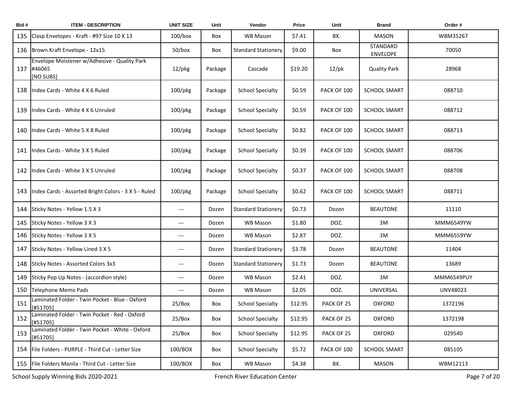| Bid# | <b>ITEM - DESCRIPTION</b>                                           | <b>UNIT SIZE</b>                         | Unit    | Vendor                     | Price   | Unit        | <b>Brand</b>                       | Order#     |
|------|---------------------------------------------------------------------|------------------------------------------|---------|----------------------------|---------|-------------|------------------------------------|------------|
| 135  | Clasp Envelopes - Kraft - #97 Size 10 X 13                          | $100/b$ ox                               | Box     | <b>WB Mason</b>            | \$7.41  | BX.         | <b>MASON</b>                       | WBM35267   |
| 136  | Brown Kraft Envelope - 12x15                                        | $50/b$ ox                                | Box     | <b>Standard Stationery</b> | \$9.00  | Box         | <b>STANDARD</b><br><b>ENVELOPE</b> | 70050      |
| 137  | Envelope Moistener w/Adhesive - Quality Park<br>#46065<br>[NO SUBS] | $12$ /pkg                                | Package | Cascade                    | \$19.20 | $12$ /pk    | <b>Quality Park</b>                | 28968      |
| 138  | Index Cards - White 4 X 6 Ruled                                     | $100$ /pkg                               | Package | <b>School Specialty</b>    | \$0.59  | PACK OF 100 | <b>SCHOOL SMART</b>                | 088710     |
| 139  | Index Cards - White 4 X 6 Unruled                                   | $100$ /pkg                               | Package | <b>School Specialty</b>    | \$0.59  | PACK OF 100 | <b>SCHOOL SMART</b>                | 088712     |
| 140  | Index Cards - White 5 X 8 Ruled                                     | $100$ /pkg                               | Package | <b>School Specialty</b>    | \$0.82  | PACK OF 100 | <b>SCHOOL SMART</b>                | 088713     |
| 141  | Index Cards - White 3 X 5 Ruled                                     | $100$ /pkg                               | Package | <b>School Specialty</b>    | \$0.39  | PACK OF 100 | <b>SCHOOL SMART</b>                | 088706     |
| 142  | Index Cards - White 3 X 5 Unruled                                   | $100$ /pkg                               | Package | <b>School Specialty</b>    | \$0.37  | PACK OF 100 | <b>SCHOOL SMART</b>                | 088708     |
| 143  | Index Cards - Assorted Bright Colors - 3 X 5 - Ruled                | $100$ /pkg                               | Package | <b>School Specialty</b>    | \$0.62  | PACK OF 100 | <b>SCHOOL SMART</b>                | 088711     |
| 144  | Sticky Notes - Yellow 1.5 X 3                                       | $\qquad \qquad \cdots$                   | Dozen   | <b>Standard Stationery</b> | \$0.73  | Dozen       | <b>BEAUTONE</b>                    | 11110      |
| 145  | Sticky Notes - Yellow 3 X 3                                         | $---$                                    | Dozen   | WB Mason                   | \$1.80  | DOZ.        | 3M                                 | MMM6549YW  |
| 146  | Sticky Notes - Yellow 3 X 5                                         | $\hspace{0.05cm}---\hspace{0.05cm}$      | Dozen   | WB Mason                   | \$2.87  | DOZ.        | 3M                                 | MMM6559YW  |
| 147  | Sticky Notes - Yellow Lined 3 X 5                                   | $\hspace{0.05cm} \ldots \hspace{0.05cm}$ | Dozen   | <b>Standard Stationery</b> | \$3.78  | Dozen       | BEAUTONE                           | 11404      |
| 148  | Sticky Notes - Assorted Colors 3x3                                  | $\hspace{0.05cm} \ldots \hspace{0.05cm}$ | Dozen   | <b>Standard Stationery</b> | \$1.73  | Dozen       | <b>BEAUTONE</b>                    | 13689      |
| 149  | Sticky Pop Up Notes - (accordion style)                             | $---$                                    | Dozen   | <b>WB Mason</b>            | \$2.41  | DOZ.        | 3M                                 | MMM6549PUY |
| 150  | Telephone Memo Pads                                                 | $\qquad \qquad \cdots$                   | Dozen   | WB Mason                   | \$2.05  | DOZ.        | UNIVERSAL                          | UNV48023   |
| 151  | Laminated Folder - Twin Pocket - Blue - Oxford<br>[#51705]          | 25/Box                                   | Box     | <b>School Specialty</b>    | \$12.95 | PACK OF 25  | <b>OXFORD</b>                      | 1372196    |
| 152  | Laminated Folder - Twin Pocket - Red - Oxford<br>[#51705]           | 25/Box                                   | Box     | <b>School Specialty</b>    | \$12.95 | PACK OF 25  | <b>OXFORD</b>                      | 1372198    |
| 153  | Laminated Folder - Twin Pocket - White - Oxford<br>[#51705]         | 25/Box                                   | Box     | <b>School Specialty</b>    | \$12.95 | PACK OF 25  | <b>OXFORD</b>                      | 029540     |
| 154  | File Folders - PURPLE - Third Cut - Letter Size                     | 100/BOX                                  | Box     | <b>School Specialty</b>    | \$5.72  | PACK OF 100 | <b>SCHOOL SMART</b>                | 085105     |
| 155  | File Folders Manila - Third Cut - Letter Size                       | 100/BOX                                  | Box     | WB Mason                   | \$4.38  | BX.         | <b>MASON</b>                       | WBM12113   |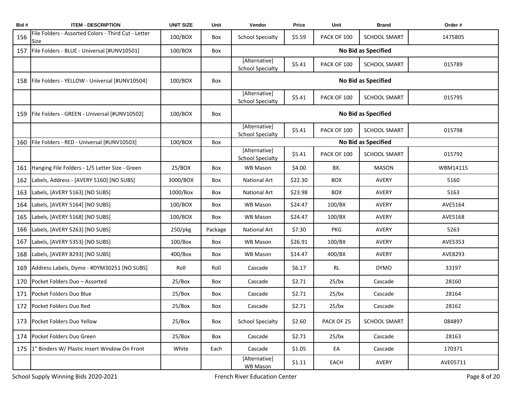| Bid# | <b>ITEM - DESCRIPTION</b>                                   | <b>UNIT SIZE</b> | Unit    | Vendor                                   | Price   | Unit        | <b>Brand</b>        | Order#   |
|------|-------------------------------------------------------------|------------------|---------|------------------------------------------|---------|-------------|---------------------|----------|
| 156  | File Folders - Assorted Colors - Third Cut - Letter<br>Size | 100/BOX          | Box     | <b>School Specialty</b>                  | \$5.59  | PACK OF 100 | <b>SCHOOL SMART</b> | 1475805  |
| 157  | File Folders - BLUE - Universal [#UNV10501]                 | 100/BOX          | Box     |                                          |         |             | No Bid as Specified |          |
|      |                                                             |                  |         | [Alternative]<br><b>School Specialty</b> | \$5.41  | PACK OF 100 | <b>SCHOOL SMART</b> | 015789   |
| 158  | File Folders - YELLOW - Universal [#UNV10504]               | 100/BOX          | Box     |                                          |         |             | No Bid as Specified |          |
|      |                                                             |                  |         | [Alternative]<br>School Specialty        | \$5.41  | PACK OF 100 | <b>SCHOOL SMART</b> | 015795   |
| 159  | File Folders - GREEN - Universal [#UNV10502]                | 100/BOX          | Box     |                                          |         |             | No Bid as Specified |          |
|      |                                                             |                  |         | [Alternative]<br><b>School Specialty</b> | \$5.41  | PACK OF 100 | <b>SCHOOL SMART</b> | 015798   |
| 160  | File Folders - RED - Universal [#UNV10503]                  | 100/BOX          | Box     |                                          |         |             | No Bid as Specified |          |
|      |                                                             |                  |         | [Alternative]<br><b>School Specialty</b> | \$5.41  | PACK OF 100 | <b>SCHOOL SMART</b> | 015792   |
| 161  | Hanging File Folders - 1/5 Letter Size - Green              | 25/BOX           | Box     | <b>WB Mason</b>                          | \$4.00  | BX.         | <b>MASON</b>        | WBM14115 |
| 162  | Labels, Address - [AVERY 5160] [NO SUBS]                    | 3000/BOX         | Box     | <b>National Art</b>                      | \$22.30 | <b>BOX</b>  | AVERY               | 5160     |
| 163  | Labels, [AVERY 5163] [NO SUBS]                              | 1000/Box         | Box     | National Art                             | \$23.98 | <b>BOX</b>  | AVERY               | 5163     |
| 164  | Labels, [AVERY 5164] [NO SUBS]                              | 100/BOX          | Box     | <b>WB Mason</b>                          | \$24.47 | 100/BX      | AVERY               | AVE5164  |
| 165  | Labels, [AVERY 5168] [NO SUBS]                              | 100/BOX          | Box     | <b>WB Mason</b>                          | \$24.47 | 100/BX      | AVERY               | AVE5168  |
| 166  | Labels, [AVERY 5263] [NO SUBS]                              | $250$ /pkg       | Package | <b>National Art</b>                      | \$7.30  | PKG         | AVERY               | 5263     |
| 167  | Labels, [AVERY 5353] [NO SUBS]                              | $100/B$ ox       | Box     | WB Mason                                 | \$26.91 | 100/BX      | <b>AVERY</b>        | AVE5353  |
| 168  | Labels, [AVERY 8293] [NO SUBS]                              | 400/Box          | Box     | WB Mason                                 | \$14.47 | 400/BX      | AVERY               | AVE8293  |
| 169  | Address Labels, Dymo - #DYM30251 [NO SUBS]                  | Roll             | Roll    | Cascade                                  | \$6.17  | <b>RL</b>   | <b>DYMO</b>         | 33197    |
| 170  | Pocket Folders Duo - Assorted                               | 25/Box           | Box     | Cascade                                  | \$2.71  | $25$ /bx    | Cascade             | 28160    |
| 171  | Pocket Folders Duo Blue                                     | 25/Box           | Box     | Cascade                                  | \$2.71  | $25$ /bx    | Cascade             | 28164    |
| 172  | Pocket Folders Duo Red                                      | 25/Box           | Box     | Cascade                                  | \$2.71  | $25$ /bx    | Cascade             | 28162    |
| 173  | Pocket Folders Duo Yellow                                   | 25/Box           | Box     | <b>School Specialty</b>                  | \$2.60  | PACK OF 25  | <b>SCHOOL SMART</b> | 084897   |
| 174  | Pocket Folders Duo Green                                    | 25/Box           | Box     | Cascade                                  | \$2.71  | $25$ /bx    | Cascade             | 28163    |
| 175  | 1" Binders W/ Plastic Insert Window On Front                | White            | Each    | Cascade                                  | \$1.05  | EA          | Cascade             | 170371   |
|      |                                                             |                  |         | [Alternative]<br>WB Mason                | \$1.11  | EACH        | AVERY               | AVE05711 |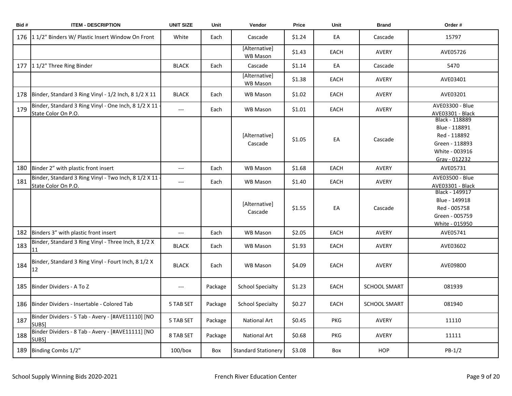| Bid# | <b>ITEM - DESCRIPTION</b>                                                     | <b>UNIT SIZE</b>         | Unit    | Vendor                     | <b>Price</b> | Unit        | <b>Brand</b>        | Order #                                                                                              |
|------|-------------------------------------------------------------------------------|--------------------------|---------|----------------------------|--------------|-------------|---------------------|------------------------------------------------------------------------------------------------------|
| 176  | 11/2" Binders W/ Plastic Insert Window On Front                               | White                    | Each    | Cascade                    | \$1.24       | EA          | Cascade             | 15797                                                                                                |
|      |                                                                               |                          |         | [Alternative]<br>WB Mason  | \$1.43       | EACH        | AVERY               | AVE05726                                                                                             |
|      | 177 11/2" Three Ring Binder                                                   | <b>BLACK</b>             | Each    | Cascade                    | \$1.14       | EA          | Cascade             | 5470                                                                                                 |
|      |                                                                               |                          |         | [Alternative]<br>WB Mason  | \$1.38       | <b>EACH</b> | <b>AVERY</b>        | AVE03401                                                                                             |
| 178  | Binder, Standard 3 Ring Vinyl - 1/2 Inch, 8 1/2 X 11                          | <b>BLACK</b>             | Each    | <b>WB Mason</b>            | \$1.02       | EACH        | AVERY               | AVE03201                                                                                             |
| 179  | Binder, Standard 3 Ring Vinyl - One Inch, 8 1/2 X 11 -<br>State Color On P.O. | $\hspace{0.05cm} \ldots$ | Each    | <b>WB Mason</b>            | \$1.01       | <b>EACH</b> | <b>AVERY</b>        | AVE03300 - Blue<br>AVE03301 - Black                                                                  |
|      |                                                                               |                          |         | [Alternative]<br>Cascade   | \$1.05       | EA          | Cascade             | Black - 118889<br>Blue - 118891<br>Red - 118892<br>Green - 118893<br>White - 003916<br>Gray - 012232 |
| 180  | Binder 2" with plastic front insert                                           | $---$                    | Each    | <b>WB Mason</b>            | \$1.68       | EACH        | AVERY               | AVE05731                                                                                             |
| 181  | Binder, Standard 3 Ring Vinyl - Two Inch, 8 1/2 X 11 -<br>State Color On P.O. | $\overline{\phantom{a}}$ | Each    | <b>WB Mason</b>            | \$1.40       | <b>EACH</b> | <b>AVERY</b>        | AVE03500 - Blue<br>AVE03301 - Black                                                                  |
|      |                                                                               |                          |         | [Alternative]<br>Cascade   | \$1.55       | EA          | Cascade             | Black - 149917<br>Blue - 149918<br>Red - 005758<br>Green - 005759<br>White - 015950                  |
| 182  | Binders 3" with plastic front insert                                          | $\overline{a}$           | Each    | <b>WB Mason</b>            | \$2.05       | EACH        | AVERY               | AVE05741                                                                                             |
| 183  | Binder, Standard 3 Ring Vinyl - Three Inch, 8 1/2 X<br>11                     | <b>BLACK</b>             | Each    | WB Mason                   | \$1.93       | EACH        | AVERY               | AVE03602                                                                                             |
| 184  | Binder, Standard 3 Ring Vinyl - Fourt Inch, 8 1/2 X<br>12                     | <b>BLACK</b>             | Each    | <b>WB Mason</b>            | \$4.09       | EACH        | <b>AVERY</b>        | AVE09800                                                                                             |
| 185  | Binder Dividers - A To Z                                                      | $---$                    | Package | <b>School Specialty</b>    | \$1.23       | EACH        | <b>SCHOOL SMART</b> | 081939                                                                                               |
| 186  | Binder Dividers - Insertable - Colored Tab                                    | 5 TAB SET                | Package | <b>School Specialty</b>    | \$0.27       | <b>EACH</b> | <b>SCHOOL SMART</b> | 081940                                                                                               |
| 187  | Binder Dividers - 5 Tab - Avery - [#AVE11110] [NO<br>SUBS]                    | 5 TAB SET                | Package | <b>National Art</b>        | \$0.45       | <b>PKG</b>  | AVERY               | 11110                                                                                                |
| 188  | Binder Dividers - 8 Tab - Avery - [#AVE11111] [NO<br>SUBS]                    | 8 TAB SET                | Package | National Art               | \$0.68       | <b>PKG</b>  | <b>AVERY</b>        | 11111                                                                                                |
| 189  | Binding Combs 1/2"                                                            | $100/b$ ox               | Box     | <b>Standard Stationery</b> | \$3.08       | Box         | <b>HOP</b>          | $PB-1/2$                                                                                             |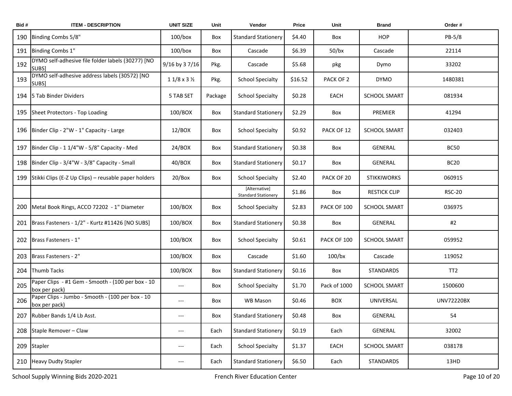| Bid# | <b>ITEM - DESCRIPTION</b>                                          | <b>UNIT SIZE</b>           | Unit    | Vendor                                      | <b>Price</b> | Unit         | <b>Brand</b>        | Order#            |
|------|--------------------------------------------------------------------|----------------------------|---------|---------------------------------------------|--------------|--------------|---------------------|-------------------|
| 190  | Binding Combs 5/8"                                                 | $100/b$ ox                 | Box     | <b>Standard Stationery</b>                  | \$4.40       | Box          | <b>HOP</b>          | PB-5/8            |
| 191  | Binding Combs 1"                                                   | $100/b$ ox                 | Box     | Cascade                                     | \$6.39       | $50$ /bx     | Cascade             | 22114             |
| 192  | DYMO self-adhesive file folder labels (30277) [NO<br>SUBS]         | 9/16 by 37/16              | Pkg.    | Cascade                                     | \$5.68       | pkg          | Dymo                | 33202             |
| 193  | DYMO self-adhesive address labels (30572) [NO<br>SUBS]             | $11/8 \times 3\frac{1}{2}$ | Pkg.    | <b>School Specialty</b>                     | \$16.52      | PACK OF 2    | <b>DYMO</b>         | 1480381           |
| 194  | <b>5 Tab Binder Dividers</b>                                       | 5 TAB SET                  | Package | <b>School Specialty</b>                     | \$0.28       | EACH         | <b>SCHOOL SMART</b> | 081934            |
| 195  | Sheet Protectors - Top Loading                                     | 100/BOX                    | Box     | <b>Standard Stationery</b>                  | \$2.29       | Box          | PREMIER             | 41294             |
| 196  | Binder Clip - 2"W - 1" Capacity - Large                            | 12/BOX                     | Box     | <b>School Specialty</b>                     | \$0.92       | PACK OF 12   | <b>SCHOOL SMART</b> | 032403            |
| 197  | Binder Clip - 1 1/4"W - 5/8" Capacity - Med                        | 24/BOX                     | Box     | <b>Standard Stationery</b>                  | \$0.38       | Box          | GENERAL             | <b>BC50</b>       |
| 198  | Binder Clip - 3/4"W - 3/8" Capacity - Small                        | 40/BOX                     | Box     | <b>Standard Stationery</b>                  | \$0.17       | Box          | <b>GENERAL</b>      | <b>BC20</b>       |
| 199  | Stikki Clips (E-Z Up Clips) – reusable paper holders               | 20/Box                     | Box     | <b>School Specialty</b>                     | \$2.40       | PACK OF 20   | <b>STIKKIWORKS</b>  | 060915            |
|      |                                                                    |                            |         | [Alternative]<br><b>Standard Stationery</b> | \$1.86       | Box          | <b>RESTICK CLIP</b> | <b>RSC-20</b>     |
| 200  | Metal Book Rings, ACCO 72202 - 1" Diameter                         | 100/BOX                    | Box     | <b>School Specialty</b>                     | \$2.83       | PACK OF 100  | <b>SCHOOL SMART</b> | 036975            |
| 201  | Brass Fasteners - 1/2" - Kurtz #11426 [NO SUBS]                    | 100/BOX                    | Box     | <b>Standard Stationery</b>                  | \$0.38       | Box          | GENERAL             | #2                |
| 202  | Brass Fasteners - 1"                                               | 100/BOX                    | Box     | <b>School Specialty</b>                     | \$0.61       | PACK OF 100  | SCHOOL SMART        | 059952            |
| 203  | Brass Fasteners - 2"                                               | 100/BOX                    | Box     | Cascade                                     | \$1.60       | $100$ /bx    | Cascade             | 119052            |
| 204  | <b>Thumb Tacks</b>                                                 | 100/BOX                    | Box     | <b>Standard Stationery</b>                  | \$0.16       | Box          | <b>STANDARDS</b>    | TT <sub>2</sub>   |
| 205  | Paper Clips - #1 Gem - Smooth - (100 per box - 10<br>box per pack) | $---$                      | Box     | <b>School Specialty</b>                     | \$1.70       | Pack of 1000 | SCHOOL SMART        | 1500600           |
| 206  | Paper Clips - Jumbo - Smooth - (100 per box - 10<br>box per pack)  | ---                        | Box     | WB Mason                                    | \$0.46       | <b>BOX</b>   | UNIVERSAL           | <b>UNV72220BX</b> |
| 207  | Rubber Bands 1/4 Lb Asst.                                          | $\qquad \qquad - -$        | Box     | <b>Standard Stationery</b>                  | \$0.48       | Box          | <b>GENERAL</b>      | 54                |
| 208  | Staple Remover - Claw                                              | ---                        | Each    | <b>Standard Stationery</b>                  | \$0.19       | Each         | GENERAL             | 32002             |
| 209  | Stapler                                                            | ---                        | Each    | <b>School Specialty</b>                     | \$1.37       | EACH         | SCHOOL SMART        | 038178            |
| 210  | <b>Heavy Dudty Stapler</b>                                         | ---                        | Each    | <b>Standard Stationery</b>                  | \$6.50       | Each         | STANDARDS           | 13HD              |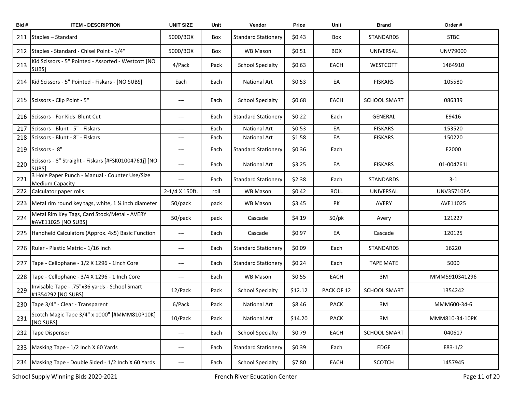| Bid# | <b>ITEM - DESCRIPTION</b>                                                | <b>UNIT SIZE</b>                  | Unit | Vendor                     | Price   | Unit        | <b>Brand</b>        | Order#            |
|------|--------------------------------------------------------------------------|-----------------------------------|------|----------------------------|---------|-------------|---------------------|-------------------|
| 211  | Staples - Standard                                                       | 5000/BOX                          | Box  | <b>Standard Stationery</b> | \$0.43  | Box         | <b>STANDARDS</b>    | <b>STBC</b>       |
| 212  | Staples - Standard - Chisel Point - 1/4"                                 | 5000/BOX                          | Box  | WB Mason                   | \$0.51  | <b>BOX</b>  | UNIVERSAL           | UNV79000          |
| 213  | Kid Scissors - 5" Pointed - Assorted - Westcott [NO<br>SUBS]             | 4/Pack                            | Pack | <b>School Specialty</b>    | \$0.63  | EACH        | <b>WESTCOTT</b>     | 1464910           |
|      | 214   Kid Scissors - 5" Pointed - Fiskars - [NO SUBS]                    | Each                              | Each | <b>National Art</b>        | \$0.53  | EA          | <b>FISKARS</b>      | 105580            |
| 215  | Scissors - Clip Point - 5"                                               | $---$                             | Each | <b>School Specialty</b>    | \$0.68  | EACH        | <b>SCHOOL SMART</b> | 086339            |
| 216  | Scissors - For Kids Blunt Cut                                            | $---$                             | Each | <b>Standard Stationery</b> | \$0.22  | Each        | GENERAL             | E9416             |
| 217  | Scissors - Blunt - 5" - Fiskars                                          | ---                               | Each | National Art               | \$0.53  | EA          | <b>FISKARS</b>      | 153520            |
| 218  | Scissors - Blunt - 8" - Fiskars                                          | ---                               | Each | <b>National Art</b>        | \$1.58  | EA          | <b>FISKARS</b>      | 150220            |
| 219  | Scissors - 8"                                                            | ---                               | Each | <b>Standard Stationery</b> | \$0.36  | Each        |                     | E2000             |
| 220  | Scissors - 8" Straight - Fiskars [#FSK01004761j] [NO<br>SUBS]            | $---$                             | Each | National Art               | \$3.25  | EA          | <b>FISKARS</b>      | 01-004761J        |
| 221  | 3 Hole Paper Punch - Manual - Counter Use/Size<br><b>Medium Capacity</b> | ---                               | Each | <b>Standard Stationery</b> | \$2.38  | Each        | <b>STANDARDS</b>    | $3 - 1$           |
| 222  | Calculator paper rolls                                                   | 2-1/4 X 150ft.                    | roll | WB Mason                   | \$0.42  | <b>ROLL</b> | UNIVERSAL           | <b>UNV35710EA</b> |
| 223  | Metal rim round key tags, white, 1 % inch diameter                       | 50/pack                           | pack | WB Mason                   | \$3.45  | PK          | <b>AVERY</b>        | AVE11025          |
| 224  | Metal Rim Key Tags, Card Stock/Metal - AVERY<br>#AVE11025 [NO SUBS]      | 50/pack                           | pack | Cascade                    | \$4.19  | $50$ /pk    | Avery               | 121227            |
| 225  | Handheld Calculators (Approx. 4x5) Basic Function                        | ---                               | Each | Cascade                    | \$0.97  | EA          | Cascade             | 120125            |
| 226  | Ruler - Plastic Metric - 1/16 Inch                                       | $---$                             | Each | <b>Standard Stationery</b> | \$0.09  | Each        | <b>STANDARDS</b>    | 16220             |
| 227  | Tape - Cellophane - 1/2 X 1296 - 1inch Core                              | ---                               | Each | <b>Standard Stationery</b> | \$0.24  | Each        | <b>TAPE MATE</b>    | 5000              |
| 228  | Tape - Cellophane - 3/4 X 1296 - 1 Inch Core                             | ---                               | Each | WB Mason                   | \$0.55  | EACH        | 3M                  | MMM5910341296     |
| 229  | Invisable Tape - .75"x36 yards - School Smart<br>#1354292 [NO SUBS]      | 12/Pack                           | Pack | <b>School Specialty</b>    | \$12.12 | PACK OF 12  | <b>SCHOOL SMART</b> | 1354242           |
|      | 230 Tape 3/4" - Clear - Transparent                                      | 6/Pack                            | Pack | National Art               | \$8.46  | <b>PACK</b> | 3M                  | MMM600-34-6       |
| 231  | Scotch Magic Tape 3/4" x 1000" [#MMM810P10K]<br>[NO SUBS]                | 10/Pack                           | Pack | National Art               | \$14.20 | <b>PACK</b> | 3M                  | MMM810-34-10PK    |
| 232  | <b>Tape Dispenser</b>                                                    | ---                               | Each | <b>School Specialty</b>    | \$0.79  | EACH        | <b>SCHOOL SMART</b> | 040617            |
| 233  | Masking Tape - 1/2 Inch X 60 Yards                                       | ---                               | Each | <b>Standard Stationery</b> | \$0.39  | Each        | EDGE                | $E83-1/2$         |
|      | 234 Masking Tape - Double Sided - 1/2 Inch X 60 Yards                    | $\hspace{0.05cm} \dashrightarrow$ | Each | <b>School Specialty</b>    | \$7.80  | EACH        | <b>SCOTCH</b>       | 1457945           |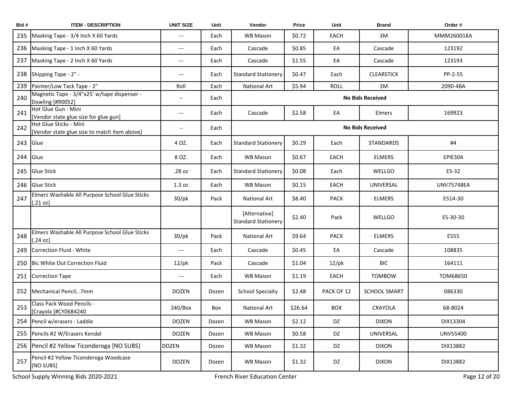| Bid# | <b>ITEM - DESCRIPTION</b>                                              | <b>UNIT SIZE</b>                    | Unit  | Vendor                                      | Price   | Unit        | <b>Brand</b>            | Order #           |
|------|------------------------------------------------------------------------|-------------------------------------|-------|---------------------------------------------|---------|-------------|-------------------------|-------------------|
| 235  | Masking Tape - 3/4 Inch X 60 Yards                                     | $---$                               | Each  | <b>WB Mason</b>                             | \$0.72  | EACH        | 3M                      | MMM260018A        |
| 236  | Masking Tape - 1 Inch X 60 Yards                                       | $\hspace{0.05cm}---$                | Each  | Cascade                                     | \$0.85  | EA          | Cascade                 | 123192            |
| 237  | Masking Tape - 2 Inch X 60 Yards                                       | $\hspace{0.05cm}---$                | Each  | Cascade                                     | \$1.55  | EA          | Cascade                 | 123193            |
| 238  | Shipping Tape - 2" -                                                   | $---$                               | Each  | <b>Standard Stationery</b>                  | \$0.47  | Each        | <b>CLEARSTICK</b>       | PP-2-55           |
| 239  | Painter/Low Tack Tape - 2"                                             | Roll                                | Each  | <b>National Art</b>                         | \$5.94  | <b>ROLL</b> | 3M                      | 2090-48A          |
| 240  | Magnetic Tape - 3/4"x25' w/tape dispenser -<br>Dowling [#90052]        | --                                  | Each  |                                             |         |             | <b>No Bids Received</b> |                   |
| 241  | Hot Glue Gun - Mini<br>[Vendor state glue size for glue gun]           | $\hspace{0.05cm}---$                | Each  | Cascade                                     | \$2.58  | EA          | Elmers                  | 169923            |
| 242  | Hot Glue Sticks - Mini<br>[Vendor state glue size to match item above] | --                                  | Each  |                                             |         |             | <b>No Bids Received</b> |                   |
| 243  | Glue                                                                   | 4 OZ.                               | Each  | <b>Standard Stationery</b>                  | \$0.29  | Each        | <b>STANDARDS</b>        | #4                |
| 244  | Glue                                                                   | 8 OZ.                               | Each  | <b>WB Mason</b>                             | \$0.67  | EACH        | <b>ELMERS</b>           | <b>EPIE304</b>    |
| 245  | <b>Glue Stick</b>                                                      | .28 oz                              | Each  | <b>Standard Stationery</b>                  | \$0.08  | Each        | WELLGO                  | ES-32             |
| 246  | <b>Glue Stick</b>                                                      | 1.3 oz                              | Each  | WB Mason                                    | \$0.15  | EACH        | UNIVERSAL               | <b>UNV75748EA</b> |
| 247  | Elmers Washable All Purpose School Glue Sticks<br>(.21 oz)             | $30$ /pk                            | Pack  | <b>National Art</b>                         | \$8.40  | <b>PACK</b> | <b>ELMERS</b>           | E514-30           |
|      |                                                                        |                                     |       | [Alternative]<br><b>Standard Stationery</b> | \$2.40  | Pack        | WELLGO                  | ES-30-30          |
| 248  | Elmers Washable All Purpose School Glue Sticks<br>(.24 oz)             | $30$ /pk                            | Pack  | <b>National Art</b>                         | \$9.64  | <b>PACK</b> | <b>ELMERS</b>           | E555              |
| 249  | Correction Fluid - White                                               | $\hspace{0.05cm}---\hspace{0.05cm}$ | Each  | Cascade                                     | \$0.45  | EA          | Cascade                 | 108835            |
| 250  | Bic White Out Correction Fluid                                         | $12$ /pk                            | Pack  | Cascade                                     | \$1.04  | $12$ /pk    | BIC                     | 164111            |
| 251  | <b>Correction Tape</b>                                                 | $\hspace{0.05cm}---\hspace{0.05cm}$ | Each  | <b>WB Mason</b>                             | \$1.19  | EACH        | <b>TOMBOW</b>           | TOM68650          |
|      | 252 Mechanical Pencil, .7mm                                            | <b>DOZEN</b>                        | Dozen | <b>School Specialty</b>                     | \$2.48  | PACK OF 12  | <b>SCHOOL SMART</b>     | 086330            |
| 253  | Class Pack Wood Pencils -<br>[Crayola [#CY0684240                      | 240/Box                             | Box   | National Art                                | \$26.64 | <b>BOX</b>  | CRAYOLA                 | 68-8024           |
| 254  | Pencil w/erasers - Laddie                                              | <b>DOZEN</b>                        | Dozen | WB Mason                                    | \$2.12  | DZ          | <b>DIXON</b>            | DIX13304          |
| 255  | Pencils #2 W/Erasers Kendal                                            | <b>DOZEN</b>                        | Dozen | WB Mason                                    | \$0.58  | DZ          | UNIVERSAL               | UNV55400          |
|      | 256 Pencil #2 Yellow Ticonderoga [NO SUBS]                             | <b>DOZEN</b>                        | Dozen | WB Mason                                    | \$1.32  | DZ          | <b>DIXON</b>            | DIX13882          |
| 257  | Pencil #2 Yellow Ticonderoga Woodcase<br>[NO SUBS]                     | DOZEN                               | Dozen | WB Mason                                    | \$1.32  | DZ          | <b>DIXON</b>            | DIX13882          |

School Supply Winning Bids 2020-2021 **French River Education Center** French River Education Center Page 12 of 20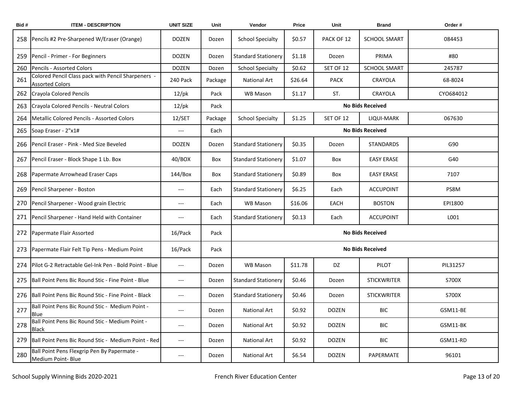| Bid# | <b>ITEM - DESCRIPTION</b>                                                    | <b>UNIT SIZE</b>         | Unit    | Vendor                     | Price   | Unit         | <b>Brand</b>            | Order#    |
|------|------------------------------------------------------------------------------|--------------------------|---------|----------------------------|---------|--------------|-------------------------|-----------|
| 258  | Pencils #2 Pre-Sharpened W/Eraser (Orange)                                   | <b>DOZEN</b>             | Dozen   | <b>School Specialty</b>    | \$0.57  | PACK OF 12   | <b>SCHOOL SMART</b>     | 084453    |
| 259  | Pencil - Primer - For Beginners                                              | <b>DOZEN</b>             | Dozen   | <b>Standard Stationery</b> | \$1.18  | Dozen        | PRIMA                   | #80       |
| 260  | Pencils - Assorted Colors                                                    | <b>DOZEN</b>             | Dozen   | <b>School Specialty</b>    | \$0.62  | SET OF 12    | <b>SCHOOL SMART</b>     | 245787    |
| 261  | Colored Pencil Class pack with Pencil Sharpeners -<br><b>Assorted Colors</b> | 240 Pack                 | Package | <b>National Art</b>        | \$26.64 | <b>PACK</b>  | CRAYOLA                 | 68-8024   |
| 262  | <b>Crayola Colored Pencils</b>                                               | $12$ /pk                 | Pack    | <b>WB Mason</b>            | \$1.17  | ST.          | CRAYOLA                 | CYO684012 |
| 263  | Crayola Colored Pencils - Neutral Colors                                     | $12$ /pk                 | Pack    |                            |         |              | <b>No Bids Received</b> |           |
| 264  | Metallic Colored Pencils - Assorted Colors                                   | 12/SET                   | Package | <b>School Specialty</b>    | \$1.25  | SET OF 12    | LIQUI-MARK              | 067630    |
| 265  | Soap Eraser - 2"x1#                                                          | $---$                    | Each    |                            |         |              | <b>No Bids Received</b> |           |
| 266  | Pencil Eraser - Pink - Med Size Beveled                                      | <b>DOZEN</b>             | Dozen   | <b>Standard Stationery</b> | \$0.35  | Dozen        | <b>STANDARDS</b>        | G90       |
| 267  | Pencil Eraser - Block Shape 1 Lb. Box                                        | 40/BOX                   | Box     | <b>Standard Stationery</b> | \$1.07  | Box          | <b>EASY ERASE</b>       | G40       |
| 268  | Papermate Arrowhead Eraser Caps                                              | 144/Box                  | Box     | <b>Standard Stationery</b> | \$0.89  | Box          | <b>EASY ERASE</b>       | 7107      |
| 269  | Pencil Sharpener - Boston                                                    | ---                      | Each    | <b>Standard Stationery</b> | \$6.25  | Each         | <b>ACCUPOINT</b>        | PS8M      |
| 270  | Pencil Sharpener - Wood grain Electric                                       | ---                      | Each    | <b>WB Mason</b>            | \$16.06 | EACH         | <b>BOSTON</b>           | EPI1800   |
| 271  | Pencil Sharpener - Hand Held with Container                                  | ---                      | Each    | <b>Standard Stationery</b> | \$0.13  | Each         | <b>ACCUPOINT</b>        | L001      |
| 272  | Papermate Flair Assorted                                                     | 16/Pack                  | Pack    |                            |         |              | <b>No Bids Received</b> |           |
| 273  | Papermate Flair Felt Tip Pens - Medium Point                                 | 16/Pack                  | Pack    |                            |         |              | <b>No Bids Received</b> |           |
| 274  | Pilot G-2 Retractable Gel-Ink Pen - Bold Point - Blue                        | $---$                    | Dozen   | <b>WB Mason</b>            | \$11.78 | DZ           | PILOT                   | PIL31257  |
| 275  | Ball Point Pens Bic Round Stic - Fine Point - Blue                           | $---$                    | Dozen   | <b>Standard Stationery</b> | \$0.46  | Dozen        | <b>STICKWRITER</b>      | S700X     |
| 276  | Ball Point Pens Bic Round Stic - Fine Point - Black                          | ---                      | Dozen   | <b>Standard Stationery</b> | \$0.46  | Dozen        | <b>STICKWRITER</b>      | S700X     |
| 277  | Ball Point Pens Bic Round Stic - Medium Point -<br>Blue                      |                          | Dozen   | National Art               | \$0.92  | <b>DOZEN</b> | BIC                     | GSM11-BE  |
| 278  | Ball Point Pens Bic Round Stic - Medium Point -<br><b>Black</b>              | ---                      | Dozen   | National Art               | \$0.92  | <b>DOZEN</b> | <b>BIC</b>              | GSM11-BK  |
| 279  | Ball Point Pens Bic Round Stic - Medium Point - Red                          | $\hspace{0.05cm} \ldots$ | Dozen   | National Art               | \$0.92  | DOZEN        | BIC                     | GSM11-RD  |
| 280  | Ball Point Pens Flexgrip Pen By Papermate -<br>Medium Point-Blue             | $\hspace{0.05cm} \ldots$ | Dozen   | National Art               | \$6.54  | DOZEN        | PAPERMATE               | 96101     |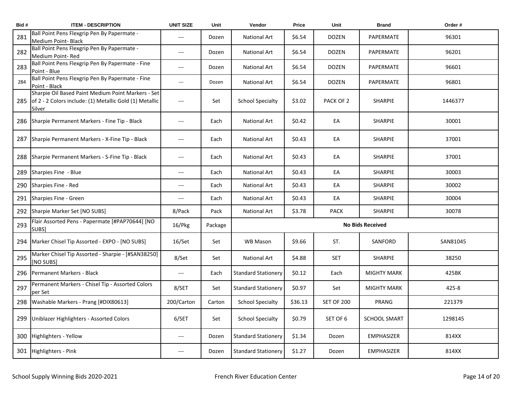| Bid# | <b>ITEM - DESCRIPTION</b>                                                                                               | <b>UNIT SIZE</b>         | Unit    | Vendor                     | Price   | Unit              | <b>Brand</b>            | Order #  |
|------|-------------------------------------------------------------------------------------------------------------------------|--------------------------|---------|----------------------------|---------|-------------------|-------------------------|----------|
| 281  | Ball Point Pens Flexgrip Pen By Papermate -<br>Medium Point- Black                                                      | ---                      | Dozen   | <b>National Art</b>        | \$6.54  | <b>DOZEN</b>      | PAPERMATE               | 96301    |
| 282  | Ball Point Pens Flexgrip Pen By Papermate -<br>Medium Point-Red                                                         | ---                      | Dozen   | <b>National Art</b>        | \$6.54  | <b>DOZEN</b>      | PAPERMATE               | 96201    |
| 283  | Ball Point Pens Flexgrip Pen By Papermate - Fine<br>Point - Blue                                                        | $---$                    | Dozen   | <b>National Art</b>        | \$6.54  | DOZEN             | PAPERMATE               | 96601    |
| 284  | Ball Point Pens Flexgrip Pen By Papermate - Fine<br>Point - Black                                                       | $\overline{\phantom{a}}$ | Dozen   | <b>National Art</b>        | \$6.54  | DOZEN             | PAPERMATE               | 96801    |
| 285  | Sharpie Oil Based Paint Medium Point Markers - Set<br>of 2 - 2 Colors include: (1) Metallic Gold (1) Metallic<br>Silver | $---$                    | Set     | <b>School Specialty</b>    | \$3.02  | PACK OF 2         | <b>SHARPIE</b>          | 1446377  |
| 286  | Sharpie Permanent Markers - Fine Tip - Black                                                                            | $---$                    | Each    | National Art               | \$0.42  | EA                | SHARPIE                 | 30001    |
| 287  | Sharpie Permanent Markers - X-Fine Tip - Black                                                                          | $---$                    | Each    | <b>National Art</b>        | \$0.43  | EA                | <b>SHARPIE</b>          | 37001    |
| 288  | Sharpie Permanent Markers - S-Fine Tip - Black                                                                          | $---$                    | Each    | <b>National Art</b>        | \$0.43  | EA                | <b>SHARPIE</b>          | 37001    |
| 289  | Sharpies Fine - Blue                                                                                                    | $---$                    | Each    | <b>National Art</b>        | \$0.43  | EA                | <b>SHARPIE</b>          | 30003    |
| 290  | Sharpies Fine - Red                                                                                                     | ---                      | Each    | <b>National Art</b>        | \$0.43  | EA                | <b>SHARPIE</b>          | 30002    |
| 291  | Sharpies Fine - Green                                                                                                   | ---                      | Each    | National Art               | \$0.43  | EA                | SHARPIE                 | 30004    |
| 292  | Sharpie Marker Set [NO SUBS]                                                                                            | 8/Pack                   | Pack    | <b>National Art</b>        | \$3.78  | <b>PACK</b>       | SHARPIE                 | 30078    |
| 293  | Flair Assorted Pens - Papermate [#PAP70644] [NO<br>SUBS]                                                                | 16/Pkg                   | Package |                            |         |                   | <b>No Bids Received</b> |          |
| 294  | Marker Chisel Tip Assorted - EXPO - [NO SUBS]                                                                           | 16/Set                   | Set     | <b>WB Mason</b>            | \$9.66  | ST.               | SANFORD                 | SAN81045 |
| 295  | Marker Chisel Tip Assorted - Sharpie - [#SAN38250]<br>[NO SUBS]                                                         | 8/Set                    | Set     | National Art               | \$4.88  | <b>SET</b>        | SHARPIE                 | 38250    |
| 296  | Permanent Markers - Black                                                                                               | $---$                    | Each    | <b>Standard Stationery</b> | \$0.12  | Each              | <b>MIGHTY MARK</b>      | 425BK    |
| 297  | Permanent Markers - Chisel Tip - Assorted Colors<br>per Set                                                             | 8/SET                    | Set     | <b>Standard Stationery</b> | \$0.97  | Set               | <b>MIGHTY MARK</b>      | 425-8    |
| 298  | Washable Markers - Prang [#DIX80613]                                                                                    | 200/Carton               | Carton  | <b>School Specialty</b>    | \$36.13 | <b>SET OF 200</b> | PRANG                   | 221379   |
| 299  | Uniblazer Highlighters - Assorted Colors                                                                                | 6/SET                    | Set     | <b>School Specialty</b>    | \$0.79  | SET OF 6          | <b>SCHOOL SMART</b>     | 1298145  |
| 300  | Highlighters - Yellow                                                                                                   | $---$                    | Dozen   | <b>Standard Stationery</b> | \$1.34  | Dozen             | <b>EMPHASIZER</b>       | 814XX    |
|      | 301 Highlighters - Pink                                                                                                 | $---$                    | Dozen   | <b>Standard Stationery</b> | \$1.27  | Dozen             | <b>EMPHASIZER</b>       | 814XX    |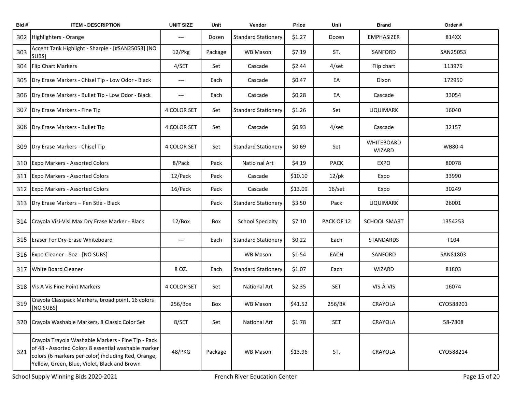| Bid# | <b>ITEM - DESCRIPTION</b>                                                                                                                                                                                        | <b>UNIT SIZE</b>                         | Unit    | Vendor                     | Price   | Unit            | <b>Brand</b>         | Order#    |
|------|------------------------------------------------------------------------------------------------------------------------------------------------------------------------------------------------------------------|------------------------------------------|---------|----------------------------|---------|-----------------|----------------------|-----------|
| 302  | Highlighters - Orange                                                                                                                                                                                            | $\hspace{0.05cm} \ldots \hspace{0.05cm}$ | Dozen   | <b>Standard Stationery</b> | \$1.27  | Dozen           | <b>EMPHASIZER</b>    | 814XX     |
| 303  | Accent Tank Highlight - Sharpie - [#SAN25053] [NO<br>SUBS]                                                                                                                                                       | 12/Pkg                                   | Package | WB Mason                   | \$7.19  | ST.             | SANFORD              | SAN25053  |
| 304  | <b>Flip Chart Markers</b>                                                                                                                                                                                        | 4/SET                                    | Set     | Cascade                    | \$2.44  | 4/set           | Flip chart           | 113979    |
| 305  | Dry Erase Markers - Chisel Tip - Low Odor - Black                                                                                                                                                                | $\hspace{0.05cm} \ldots \hspace{0.05cm}$ | Each    | Cascade                    | \$0.47  | EA              | Dixon                | 172950    |
| 306  | Dry Erase Markers - Bullet Tip - Low Odor - Black                                                                                                                                                                | $\qquad \qquad \cdots$                   | Each    | Cascade                    | \$0.28  | EA              | Cascade              | 33054     |
| 307  | Dry Erase Markers - Fine Tip                                                                                                                                                                                     | 4 COLOR SET                              | Set     | <b>Standard Stationery</b> | \$1.26  | Set             | LIQUIMARK            | 16040     |
| 308  | Dry Erase Markers - Bullet Tip                                                                                                                                                                                   | <b>4 COLOR SET</b>                       | Set     | Cascade                    | \$0.93  | 4/set           | Cascade              | 32157     |
| 309  | Dry Erase Markers - Chisel Tip                                                                                                                                                                                   | 4 COLOR SET                              | Set     | <b>Standard Stationery</b> | \$0.69  | Set             | WHITEBOARD<br>WIZARD | WB80-4    |
| 310  | <b>Expo Markers - Assorted Colors</b>                                                                                                                                                                            | 8/Pack                                   | Pack    | Natio nal Art              | \$4.19  | <b>PACK</b>     | <b>EXPO</b>          | 80078     |
| 311  | <b>Expo Markers - Assorted Colors</b>                                                                                                                                                                            | 12/Pack                                  | Pack    | Cascade                    | \$10.10 | $12$ /pk        | Expo                 | 33990     |
| 312  | <b>Expo Markers - Assorted Colors</b>                                                                                                                                                                            | 16/Pack                                  | Pack    | Cascade                    | \$13.09 | $16/\text{set}$ | Expo                 | 30249     |
| 313  | Dry Erase Markers - Pen Stle - Black                                                                                                                                                                             |                                          | Pack    | <b>Standard Stationery</b> | \$3.50  | Pack            | LIQUIMARK            | 26001     |
| 314  | Crayola Visi-Visi Max Dry Erase Marker - Black                                                                                                                                                                   | 12/Box                                   | Box     | <b>School Specialty</b>    | \$7.10  | PACK OF 12      | <b>SCHOOL SMART</b>  | 1354253   |
| 315  | Eraser For Dry-Erase Whiteboard                                                                                                                                                                                  | $\hspace{0.05cm} \ldots \hspace{0.05cm}$ | Each    | <b>Standard Stationery</b> | \$0.22  | Each            | <b>STANDARDS</b>     | T104      |
| 316  | Expo Cleaner - 8oz - [NO SUBS]                                                                                                                                                                                   |                                          |         | WB Mason                   | \$1.54  | EACH            | SANFORD              | SAN81803  |
| 317  | <b>White Board Cleaner</b>                                                                                                                                                                                       | 8 OZ.                                    | Each    | <b>Standard Stationery</b> | \$1.07  | Each            | <b>WIZARD</b>        | 81803     |
| 318  | Vis A Vis Fine Point Markers                                                                                                                                                                                     | 4 COLOR SET                              | Set     | National Art               | \$2.35  | <b>SET</b>      | VIS-À-VIS            | 16074     |
| 319  | Crayola Classpack Markers, broad point, 16 colors<br>[NO SUBS]                                                                                                                                                   | 256/Box                                  | Box     | WB Mason                   | \$41.52 | 256/BX          | CRAYOLA              | CYO588201 |
| 320  | Crayola Washable Markers, 8 Classic Color Set                                                                                                                                                                    | 8/SET                                    | Set     | <b>National Art</b>        | \$1.78  | <b>SET</b>      | CRAYOLA              | 58-7808   |
| 321  | Crayola Trayola Washable Markers - Fine Tip - Pack<br>of 48 - Assorted Colors 8 essential washable marker<br>colors (6 markers per color) including Red, Orange,<br>Yellow, Green, Blue, Violet, Black and Brown | 48/PKG                                   | Package | WB Mason                   | \$13.96 | ST.             | CRAYOLA              | CYO588214 |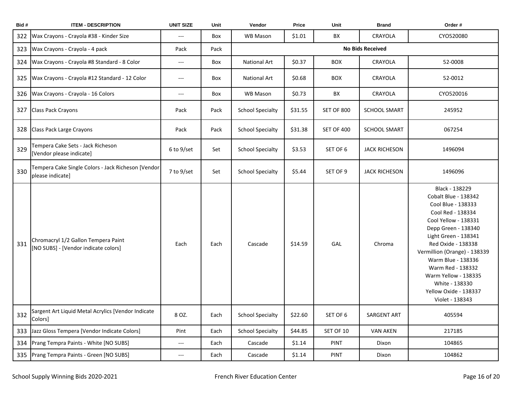| Bid# | <b>ITEM - DESCRIPTION</b>                                                   | <b>UNIT SIZE</b>         | Unit | Vendor                  | Price   | Unit              | <b>Brand</b>         | Order #                                                                                                                                                                                                                                                                                                                                         |  |
|------|-----------------------------------------------------------------------------|--------------------------|------|-------------------------|---------|-------------------|----------------------|-------------------------------------------------------------------------------------------------------------------------------------------------------------------------------------------------------------------------------------------------------------------------------------------------------------------------------------------------|--|
| 322  | Wax Crayons - Crayola #38 - Kinder Size                                     | ---                      | Box  | WB Mason                | \$1.01  | BX                | CRAYOLA              | CYO520080                                                                                                                                                                                                                                                                                                                                       |  |
| 323  | Wax Crayons - Crayola - 4 pack                                              | Pack                     | Pack | <b>No Bids Received</b> |         |                   |                      |                                                                                                                                                                                                                                                                                                                                                 |  |
| 324  | Wax Crayons - Crayola #8 Standard - 8 Color                                 | ---                      | Box  | <b>National Art</b>     | \$0.37  | <b>BOX</b>        | CRAYOLA              | 52-0008                                                                                                                                                                                                                                                                                                                                         |  |
| 325  | Wax Crayons - Crayola #12 Standard - 12 Color                               | ---                      | Box  | <b>National Art</b>     | \$0.68  | <b>BOX</b>        | CRAYOLA              | 52-0012                                                                                                                                                                                                                                                                                                                                         |  |
| 326  | Wax Crayons - Crayola - 16 Colors                                           | $---$                    | Box  | WB Mason                | \$0.73  | BX                | CRAYOLA              | CYO520016                                                                                                                                                                                                                                                                                                                                       |  |
| 327  | Class Pack Crayons                                                          | Pack                     | Pack | <b>School Specialty</b> | \$31.55 | <b>SET OF 800</b> | <b>SCHOOL SMART</b>  | 245952                                                                                                                                                                                                                                                                                                                                          |  |
| 328  | Class Pack Large Crayons                                                    | Pack                     | Pack | <b>School Specialty</b> | \$31.38 | <b>SET OF 400</b> | <b>SCHOOL SMART</b>  | 067254                                                                                                                                                                                                                                                                                                                                          |  |
| 329  | Tempera Cake Sets - Jack Richeson<br>[Vendor please indicate]               | 6 to 9/set               | Set  | <b>School Specialty</b> | \$3.53  | SET OF 6          | <b>JACK RICHESON</b> | 1496094                                                                                                                                                                                                                                                                                                                                         |  |
| 330  | Tempera Cake Single Colors - Jack Richeson [Vendor<br>please indicate]      | 7 to 9/set               | Set  | <b>School Specialty</b> | \$5.44  | SET OF 9          | <b>JACK RICHESON</b> | 1496096                                                                                                                                                                                                                                                                                                                                         |  |
| 331  | Chromacryl 1/2 Gallon Tempera Paint<br>[NO SUBS] - [Vendor indicate colors] | Each                     | Each | Cascade                 | \$14.59 | GAL               | Chroma               | Black - 138229<br>Cobalt Blue - 138342<br>Cool Blue - 138333<br>Cool Red - 138334<br>Cool Yellow - 138331<br>Depp Green - 138340<br>Light Green - 138341<br>Red Oxide - 138338<br>Vermillion (Orange) - 138339<br>Warm Blue - 138336<br>Warm Red - 138332<br>Warm Yellow - 138335<br>White - 138330<br>Yellow Oxide - 138337<br>Violet - 138343 |  |
| 332  | Sargent Art Liquid Metal Acrylics [Vendor Indicate<br>Colors]               | 8 OZ.                    | Each | <b>School Specialty</b> | \$22.60 | SET OF 6          | SARGENT ART          | 405594                                                                                                                                                                                                                                                                                                                                          |  |
| 333  | Jazz Gloss Tempera [Vendor Indicate Colors]                                 | Pint                     | Each | <b>School Specialty</b> | \$44.85 | SET OF 10         | <b>VAN AKEN</b>      | 217185                                                                                                                                                                                                                                                                                                                                          |  |
| 334  | Prang Tempra Paints - White [NO SUBS]                                       | $\hspace{0.05cm} \ldots$ | Each | Cascade                 | \$1.14  | PINT              | Dixon                | 104865                                                                                                                                                                                                                                                                                                                                          |  |
|      | 335 Prang Tempra Paints - Green [NO SUBS]                                   | ---                      | Each | Cascade                 | \$1.14  | <b>PINT</b>       | Dixon                | 104862                                                                                                                                                                                                                                                                                                                                          |  |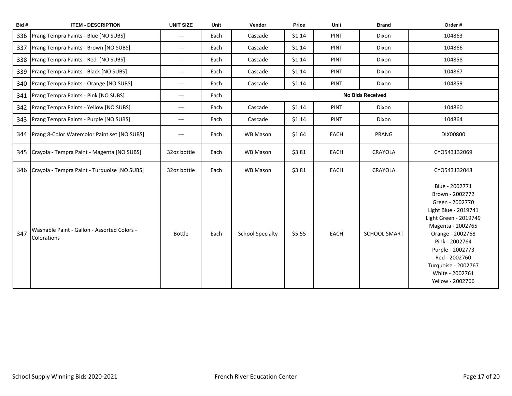| Bid# | <b>ITEM - DESCRIPTION</b>                                  | <b>UNIT SIZE</b>                         | Unit | Vendor                  | Price  | Unit        | <b>Brand</b>            | Order #                                                                                                                                                                                                                                                             |
|------|------------------------------------------------------------|------------------------------------------|------|-------------------------|--------|-------------|-------------------------|---------------------------------------------------------------------------------------------------------------------------------------------------------------------------------------------------------------------------------------------------------------------|
| 336  | Prang Tempra Paints - Blue [NO SUBS]                       | $---$                                    | Each | Cascade                 | \$1.14 | <b>PINT</b> | Dixon                   | 104863                                                                                                                                                                                                                                                              |
| 337  | Prang Tempra Paints - Brown [NO SUBS]                      | $---$                                    | Each | Cascade                 | \$1.14 | <b>PINT</b> | Dixon                   | 104866                                                                                                                                                                                                                                                              |
| 338  | Prang Tempra Paints - Red [NO SUBS]                        | $---$                                    | Each | Cascade                 | \$1.14 | <b>PINT</b> | Dixon                   | 104858                                                                                                                                                                                                                                                              |
| 339  | Prang Tempra Paints - Black [NO SUBS]                      | $---$                                    | Each | Cascade                 | \$1.14 | <b>PINT</b> | Dixon                   | 104867                                                                                                                                                                                                                                                              |
| 340  | Prang Tempra Paints - Orange [NO SUBS]                     | $\hspace{0.05cm} \ldots \hspace{0.05cm}$ | Each | Cascade                 | \$1.14 | <b>PINT</b> | Dixon                   | 104859                                                                                                                                                                                                                                                              |
| 341  | Prang Tempra Paints - Pink [NO SUBS]                       | $\hspace{0.05cm} \ldots$                 | Each |                         |        |             | <b>No Bids Received</b> |                                                                                                                                                                                                                                                                     |
| 342  | Prang Tempra Paints - Yellow [NO SUBS]                     | $\hspace{0.05cm} \ldots \hspace{0.05cm}$ | Each | Cascade                 | \$1.14 | <b>PINT</b> | Dixon                   | 104860                                                                                                                                                                                                                                                              |
| 343  | Prang Tempra Paints - Purple [NO SUBS]                     | $---$                                    | Each | Cascade                 | \$1.14 | <b>PINT</b> | Dixon                   | 104864                                                                                                                                                                                                                                                              |
| 344  | Prang 8-Color Watercolor Paint set [NO SUBS]               | $---$                                    | Each | WB Mason                | \$1.64 | EACH        | PRANG                   | DIX00800                                                                                                                                                                                                                                                            |
| 345  | Crayola - Tempra Paint - Magenta [NO SUBS]                 | 32oz bottle                              | Each | WB Mason                | \$3.81 | EACH        | CRAYOLA                 | CYO543132069                                                                                                                                                                                                                                                        |
| 346  | Crayola - Tempra Paint - Turquoise [NO SUBS]               | 32oz bottle                              | Each | WB Mason                | \$3.81 | EACH        | CRAYOLA                 | CYO543132048                                                                                                                                                                                                                                                        |
| 347  | Washable Paint - Gallon - Assorted Colors -<br>Colorations | <b>Bottle</b>                            | Each | <b>School Specialty</b> | \$5.55 | EACH        | <b>SCHOOL SMART</b>     | Blue - 2002771<br>Brown - 2002772<br>Green - 2002770<br>Light Blue - 2019741<br>Light Green - 2019749<br>Magenta - 2002765<br>Orange - 2002768<br>Pink - 2002764<br>Purple - 2002773<br>Red - 2002760<br>Turquoise - 2002767<br>White - 2002761<br>Yellow - 2002766 |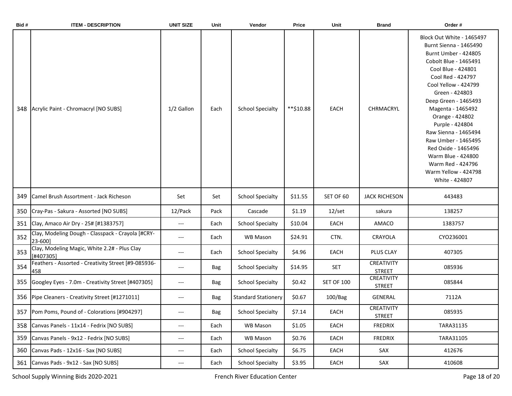| Bid# | <b>ITEM - DESCRIPTION</b>                                    | <b>UNIT SIZE</b>                         | Unit       | Vendor                     | Price     | Unit              | <b>Brand</b>                | Order #                                                                                                                                                                                                                                                                                                                                                                                                                                 |
|------|--------------------------------------------------------------|------------------------------------------|------------|----------------------------|-----------|-------------------|-----------------------------|-----------------------------------------------------------------------------------------------------------------------------------------------------------------------------------------------------------------------------------------------------------------------------------------------------------------------------------------------------------------------------------------------------------------------------------------|
| 348  | Acrylic Paint - Chromacryl [NO SUBS]                         | 1/2 Gallon                               | Each       | <b>School Specialty</b>    | **\$10.88 | EACH              | <b>CHRMACRYL</b>            | Block Out White - 1465497<br>Burnt Sienna - 1465490<br>Burnt Umber - 424805<br>Cobolt Blue - 1465491<br>Cool Blue - 424801<br>Cool Red - 424797<br>Cool Yellow - 424799<br>Green - 424803<br>Deep Green - 1465493<br>Magenta - 1465492<br>Orange - 424802<br>Purple - 424804<br>Raw Sienna - 1465494<br>Raw Umber - 1465495<br>Red Oxide - 1465496<br>Warm Blue - 424800<br>Warm Red - 424796<br>Warm Yellow - 424798<br>White - 424807 |
| 349  | Camel Brush Assortment - Jack Richeson                       | Set                                      | Set        | <b>School Specialty</b>    | \$11.55   | SET OF 60         | <b>JACK RICHESON</b>        | 443483                                                                                                                                                                                                                                                                                                                                                                                                                                  |
| 350  | Cray-Pas - Sakura - Assorted [NO SUBS]                       | 12/Pack                                  | Pack       | Cascade                    | \$1.19    | $12/\text{set}$   | sakura                      | 138257                                                                                                                                                                                                                                                                                                                                                                                                                                  |
| 351  | Clay, Amaco Air Dry - 25# [#1383757]                         | $\hspace{0.05cm} \ldots \hspace{0.05cm}$ | Each       | <b>School Specialty</b>    | \$10.04   | EACH              | AMACO                       | 1383757                                                                                                                                                                                                                                                                                                                                                                                                                                 |
| 352  | Clay, Modeling Dough - Classpack - Crayola [#CRY-<br>23-600] | $---$                                    | Each       | WB Mason                   | \$24.91   | CTN.              | CRAYOLA                     | CYO236001                                                                                                                                                                                                                                                                                                                                                                                                                               |
| 353  | Clay, Modeling Magic, White 2.2# - Plus Clay<br>[#407305]    | $---$                                    | Each       | <b>School Specialty</b>    | \$4.96    | <b>EACH</b>       | <b>PLUS CLAY</b>            | 407305                                                                                                                                                                                                                                                                                                                                                                                                                                  |
| 354  | Feathers - Assorted - Creativity Street [#9-085936-<br>458   | $---$                                    | Bag        | <b>School Specialty</b>    | \$14.95   | <b>SET</b>        | CREATIVITY<br><b>STREET</b> | 085936                                                                                                                                                                                                                                                                                                                                                                                                                                  |
| 355  | Googley Eyes - 7.0m - Creativity Street [#407305]            | $\hspace{0.05cm}---\hspace{0.05cm}$      | <b>Bag</b> | <b>School Specialty</b>    | \$0.42    | <b>SET OF 100</b> | CREATIVITY<br><b>STREET</b> | 085844                                                                                                                                                                                                                                                                                                                                                                                                                                  |
| 356  | Pipe Cleaners - Creativity Street [#1271011]                 | $\hspace{0.05cm} \ldots \hspace{0.05cm}$ | Bag        | <b>Standard Stationery</b> | \$0.67    | 100/Bag           | <b>GENERAL</b>              | 7112A                                                                                                                                                                                                                                                                                                                                                                                                                                   |
|      | 357 Pom Poms, Pound of - Colorations [#904297]               | $---$                                    | Bag        | <b>School Specialty</b>    | \$7.14    | EACH              | CREATIVITY<br><b>STREET</b> | 085935                                                                                                                                                                                                                                                                                                                                                                                                                                  |
| 358  | Canvas Panels - 11x14 - Fedrix [NO SUBS]                     | $\hspace{0.05cm} \ldots$                 | Each       | WB Mason                   | \$1.05    | EACH              | FREDRIX                     | TARA31135                                                                                                                                                                                                                                                                                                                                                                                                                               |
| 359  | Canvas Panels - 9x12 - Fedrix [NO SUBS]                      | $\hspace{0.05cm} \dashrightarrow$        | Each       | WB Mason                   | \$0.76    | EACH              | <b>FREDRIX</b>              | TARA31105                                                                                                                                                                                                                                                                                                                                                                                                                               |
| 360  | Canvas Pads - 12x16 - Sax [NO SUBS]                          | $\hspace{0.05cm} \ldots$                 | Each       | <b>School Specialty</b>    | \$6.75    | EACH              | SAX                         | 412676                                                                                                                                                                                                                                                                                                                                                                                                                                  |
| 361  | Canvas Pads - 9x12 - Sax [NO SUBS]                           | $\hspace{0.05cm} \dashrightarrow$        | Each       | <b>School Specialty</b>    | \$3.95    | EACH              | SAX                         | 410608                                                                                                                                                                                                                                                                                                                                                                                                                                  |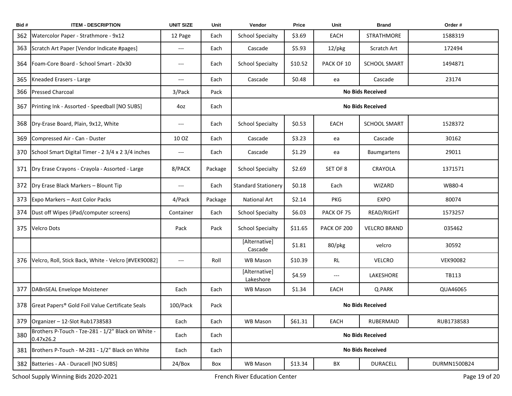| Bid# | <b>ITEM - DESCRIPTION</b>                                       | <b>UNIT SIZE</b>                         | Unit    | Vendor                     | Price   | Unit        | <b>Brand</b>            | Order #         |  |
|------|-----------------------------------------------------------------|------------------------------------------|---------|----------------------------|---------|-------------|-------------------------|-----------------|--|
| 362  | Watercolor Paper - Strathmore - 9x12                            | 12 Page                                  | Each    | <b>School Specialty</b>    | \$3.69  | EACH        | STRATHMORE              | 1588319         |  |
| 363  | Scratch Art Paper [Vendor Indicate #pages]                      | $---$                                    | Each    | Cascade                    | \$5.93  | $12$ /pkg   | Scratch Art             | 172494          |  |
| 364  | Foam-Core Board - School Smart - 20x30                          | $---$                                    | Each    | <b>School Specialty</b>    | \$10.52 | PACK OF 10  | <b>SCHOOL SMART</b>     | 1494871         |  |
| 365  | Kneaded Erasers - Large                                         | ---                                      | Each    | Cascade                    | \$0.48  | ea          | Cascade                 | 23174           |  |
| 366  | <b>Pressed Charcoal</b>                                         | 3/Pack                                   | Pack    |                            |         |             | <b>No Bids Received</b> |                 |  |
| 367  | Printing Ink - Assorted - Speedball [NO SUBS]                   | 4oz                                      | Each    |                            |         |             | <b>No Bids Received</b> |                 |  |
| 368  | Dry-Erase Board, Plain, 9x12, White                             | $\hspace{0.05cm} \ldots \hspace{0.05cm}$ | Each    | <b>School Specialty</b>    | \$0.53  | EACH        | <b>SCHOOL SMART</b>     | 1528372         |  |
| 369  | Compressed Air - Can - Duster                                   | 10 OZ                                    | Each    | Cascade                    | \$3.23  | ea          | Cascade                 | 30162           |  |
| 370  | School Smart Digital Timer - 2 3/4 x 2 3/4 inches               | $\hspace{0.05cm} \ldots \hspace{0.05cm}$ | Each    | Cascade                    | \$1.29  | ea          | Baumgartens             | 29011           |  |
| 371  | Dry Erase Crayons - Crayola - Assorted - Large                  | 8/PACK                                   | Package | <b>School Specialty</b>    | \$2.69  | SET OF 8    | CRAYOLA                 | 1371571         |  |
| 372  | Dry Erase Black Markers - Blount Tip                            | $\hspace{0.05cm} \ldots \hspace{0.05cm}$ | Each    | <b>Standard Stationery</b> | \$0.18  | Each        | WIZARD                  | WB80-4          |  |
| 373  | Expo Markers - Asst Color Packs                                 | 4/Pack                                   | Package | <b>National Art</b>        | \$2.14  | <b>PKG</b>  | <b>EXPO</b>             | 80074           |  |
| 374  | Dust off Wipes (iPad/computer screens)                          | Container                                | Each    | <b>School Specialty</b>    | \$6.03  | PACK OF 75  | READ/RIGHT              | 1573257         |  |
| 375  | <b>Velcro Dots</b>                                              | Pack                                     | Pack    | <b>School Specialty</b>    | \$11.65 | PACK OF 200 | <b>VELCRO BRAND</b>     | 035462          |  |
|      |                                                                 |                                          |         | [Alternative]<br>Cascade   | \$1.81  | 80/pkg      | velcro                  | 30592           |  |
| 376  | Velcro, Roll, Stick Back, White - Velcro [#VEK90082]            | $---$                                    | Roll    | WB Mason                   | \$10.39 | RL          | <b>VELCRO</b>           | <b>VEK90082</b> |  |
|      |                                                                 |                                          |         | [Alternative]<br>Lakeshore | \$4.59  | $---$       | LAKESHORE               | TB113           |  |
| 377  | DABnSEAL Envelope Moistener                                     | Each                                     | Each    | WB Mason                   | \$1.34  | EACH        | Q.PARK                  | QUA46065        |  |
| 378  | Great Papers <sup>®</sup> Gold Foil Value Certificate Seals     | 100/Pack                                 | Pack    | <b>No Bids Received</b>    |         |             |                         |                 |  |
| 379  | Organizer - 12-Slot Rub1738583                                  | Each                                     | Each    | WB Mason                   | \$61.31 | EACH        | RUBERMAID               | RUB1738583      |  |
| 380  | Brothers P-Touch - Tze-281 - 1/2" Black on White -<br>0.47x26.2 | Each                                     | Each    |                            |         |             | <b>No Bids Received</b> |                 |  |
| 381  | Brothers P-Touch - M-281 - 1/2" Black on White                  | Each                                     | Each    |                            |         |             | <b>No Bids Received</b> |                 |  |
| 382  | Batteries - AA - Duracell [NO SUBS]                             | 24/Box                                   | Box     | WB Mason                   | \$13.34 | BX          | <b>DURACELL</b>         | DURMN1500B24    |  |

School Supply Winning Bids 2020-2021 **French River Education Center** French River Education Center Page 19 of 20